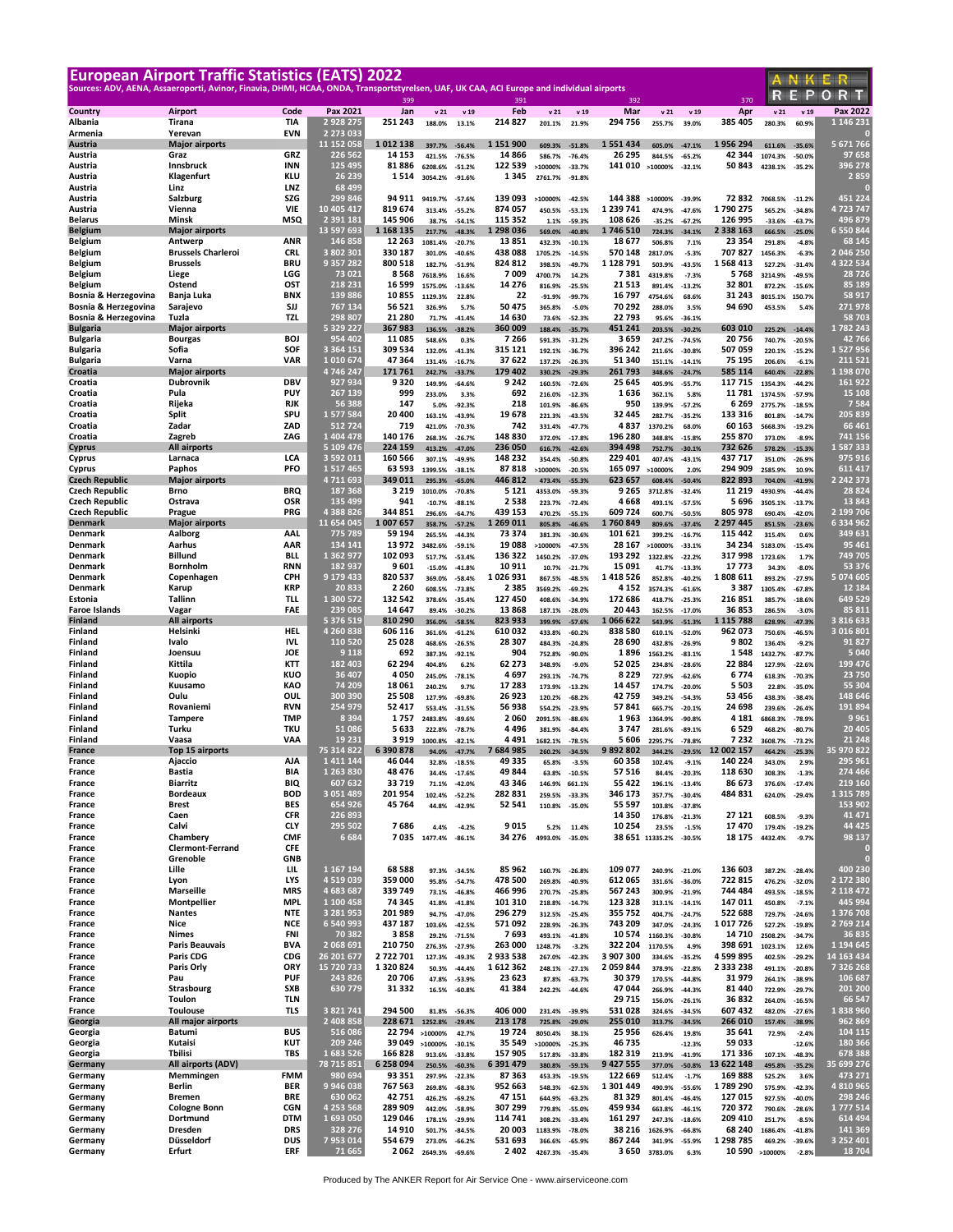| <b>European Airport Traffic Statistics (EATS) 2022</b>                                                                                   |                                              |                          |                            |                    |                    |                      |                    |                   |                      |                      |                   |                      |                          |                   |                      | ANKER                   |
|------------------------------------------------------------------------------------------------------------------------------------------|----------------------------------------------|--------------------------|----------------------------|--------------------|--------------------|----------------------|--------------------|-------------------|----------------------|----------------------|-------------------|----------------------|--------------------------|-------------------|----------------------|-------------------------|
| Sources: ADV, AENA, Assaeroporti, Avinor, Finavia, DHMI, HCAA, ONDA, Transportstyrelsen, UAF, UK CAA, ACI Europe and individual airports |                                              |                          |                            |                    |                    |                      |                    |                   |                      |                      |                   |                      |                          |                   |                      |                         |
|                                                                                                                                          |                                              |                          |                            | 399                |                    |                      | 391                |                   |                      | 392                  |                   |                      | 370                      |                   |                      | <b>REPORT</b>           |
| Country                                                                                                                                  | <b>Airport</b>                               | Code                     | Pax 2021                   | Jan                | v <sub>21</sub>    | v 19                 | Feb                | v <sub>21</sub>   | v 19                 | Mar                  | v <sub>21</sub>   | v 19                 | Apr                      | v21               | v 19                 | Pax 2022                |
| Albania                                                                                                                                  | Tirana                                       | TIA<br><b>EVN</b>        | 2928275<br>2 2 7 3 0 3 3   | 251 243            | 188.0%             | 13.1%                | 214 827            | 201.1%            | 21.9%                | 294 756              | 255.7%            | 39.0%                | 385 405                  | 280.3%            | 60.9%                | 1 146 231               |
| Armenia<br>Austria                                                                                                                       | Yerevan<br><b>Major airports</b>             |                          | 11 152 058                 | 1012138            | 397.7%             | $-56.4%$             | 1 151 900          | 609.3%            | $-51.8%$             | 1551434              | 605.0%            | $-47.1%$             | 1956294                  | 611.6%            | $-35.6%$             | 5 671 766               |
| Austria                                                                                                                                  | Graz                                         | GRZ                      | 226 562                    | 14 153             | 421.5%             | $-76.5%$             | 14 866             | 586.7%            | $-76.4%$             | 26 295               | 844.5%            | $-65.2%$             | 42 344                   | 1074.3%           | $-50.0%$             | 97 658                  |
| Austria                                                                                                                                  | Innsbruck                                    | INN                      | 125 495                    | 81886              | 6208.6%            | $-51.2%$             | 122 539            | >10000%           | $-33.7%$             | 141 010              | >10000%           | $-32.1%$             | 50 843                   | 4238.1%           | $-35.2%$             | 396 278                 |
| Austria                                                                                                                                  | Klagenfurt                                   | KLU                      | 26 239                     | 1514               | 3054.2%            | $-91.6%$             | 1345               | 2761.7%           | $-91.8%$             |                      |                   |                      |                          |                   |                      | 2859                    |
| Austria<br>Austria                                                                                                                       | Linz<br><b>Salzburg</b>                      | LNZ<br>SZG               | 68 499<br>299 846          | 94 911             |                    | $-57.6%$             | 139 093            | >10000%           | $-42.5%$             | 144 388              | >10000%           | $-39.9%$             | 72 832                   | 7068.5%           | $-11.2%$             | 0<br>451 224            |
| Austria                                                                                                                                  | Vienna                                       | VIE                      | 10 405 417                 | 819 674            | 9419.7%<br>313.4%  | $-55.2%$             | 874 057            | 450.5%            | $-53.1%$             | 1 239 741            | 474.9%            | $-47.6%$             | 1790275                  | 565.2%            | $-34.8%$             | 4723747                 |
| <b>Belarus</b>                                                                                                                           | Minsk                                        | MSQ                      | 2 3 9 1 1 8 1              | 145 906            | 38.7%              | $-54.1%$             | 115 352            | 1.1%              | $-59.3%$             | 108 626              | $-35.2%$          | $-67.2%$             | 126 995                  | $-33.6%$          | $-63.7%$             | 496 879                 |
| <b>Belgium</b>                                                                                                                           | <b>Major airports</b>                        |                          | 13 597 693                 | 1 168 135          | 217.7%             | $-48.3%$             | 1 298 036          | 569.0%            | $-40.8%$             | 1746 510             | 724.3%            | $-34.1%$             | 2 3 3 8 1 6 3            | 666.5%            | $-25.0%$             | 6 550 844               |
| Belgium                                                                                                                                  | Antwerp                                      | ANR                      | 146 858                    | 12 263             | 1081.4%            | $-20.7%$             | 13851              | 432.3%            | $-10.1%$             | 18 677               | 506.8%            | 7.1%                 | 23 354                   | 291.8%            | $-4.8%$              | 68 145                  |
| Belgium<br>Belgium                                                                                                                       | <b>Brussels Charleroi</b><br><b>Brussels</b> | <b>CRL</b><br><b>BRU</b> | 3 802 301<br>9 3 5 7 2 8 2 | 330 187<br>800 518 | 301.0%             | $-40.6%$<br>$-51.9%$ | 438 088<br>824 812 | 1705.2%<br>398.5% | $-14.5%$<br>$-49.7%$ | 570 148<br>1 128 791 | 2817.0%<br>503.9% | $-5.3%$<br>$-43.5%$  | 707827<br>1 568 413      | 1456.3%           | $-6.3%$<br>$-31.4%$  | 2 046 250<br>4 322 534  |
| Belgium                                                                                                                                  | Liege                                        | LGG                      | 73 021                     | 8568               | 182.7%<br>7618.9%  | 16.6%                | 7009               | 4700.7%           | 14.2%                | 7381                 | 4319.8%           | $-7.3%$              | 5768                     | 527.2%<br>3214.9% | $-49.5%$             | 28726                   |
| Belgium                                                                                                                                  | Ostend                                       | OST                      | 218 231                    | 16 599             | 1575.0%            | $-13.6%$             | 14 276             | 816.9%            | $-25.5%$             | 21 5 13              | 891.4%            | $-13.2%$             | 32 801                   | 872.2%            | $-15.6%$             | 85 189                  |
| Bosnia & Herzegovina                                                                                                                     | Banja Luka                                   | <b>BNX</b>               | 139886                     | 10855              | 1129.3%            | 22.8%                | 22                 | $-91.9%$          | $-99.7%$             | 16 797               | 4754.6%           | 68.6%                | 31 243                   | 8015.1%           | 150.7%               | 58 917                  |
| Bosnia & Herzegovina<br>Bosnia & Herzegovina                                                                                             | Sarajevo<br>Tuzla                            | SJJ<br><b>TZL</b>        | 767 134<br>298 807         | 56 521<br>21 280   | 326.9%             | 5.7%                 | 50 475<br>14 630   | 365.8%            | $-5.0%$              | 70 292<br>22 793     | 288.0%            | 3.5%                 | 94 690                   | 453.5%            | 5.4%                 | 271 978<br>58 703       |
| <b>Bulgaria</b>                                                                                                                          | <b>Major airports</b>                        |                          | 5 3 2 9 2 2 7              | 367983             | 71.7%<br>136.5%    | $-41.4%$<br>$-38.2%$ | 360 009            | 73.6%<br>188.4%   | $-52.3%$<br>$-35.7%$ | 451 241              | 95.6%<br>203.5%   | $-36.1%$<br>$-30.2%$ | 603 010                  | 225.2%            | $-14.4%$             | 1782243                 |
| <b>Bulgaria</b>                                                                                                                          | <b>Bourgas</b>                               | BOJ                      | 954 402                    | 11 085             | 548.6%             | 0.3%                 | 7 2 6 6            | 591.3%            | $-31.2%$             | 3659                 | 247.2%            | $-74.5%$             | 20756                    | 740.7%            | $-20.5%$             | 42 766                  |
| <b>Bulgaria</b>                                                                                                                          | Sofia                                        | SOF                      | 3 3 6 4 1 5 1              | 309 534            | 132.0%             | $-41.3%$             | 315 121            | 192.1%            | $-36.7%$             | 396 242              | 211.6%            | $-30.8%$             | 507 059                  | 220.1%            | $-15.2%$             | 1 527 956               |
| <b>Bulgaria</b>                                                                                                                          | Varna                                        | <b>VAR</b>               | 1010674                    | 47 364             | 131.4%             | $-16.7%$             | 37 622             | 137.2%            | $-26.3%$             | 51 340               | 151.1%            | $-14.1%$             | 75 195                   | 206.6%            | $-6.1%$              | 211 521                 |
| Croatia<br>Croatia                                                                                                                       | <b>Major airports</b><br><b>Dubrovnik</b>    | <b>DBV</b>               | 4746247<br>927 934         | 171 761<br>9320    | 242.7%             | $-33.7%$             | 179 402<br>9 2 4 2 | 330.2%<br>160.5%  | $-29.3%$             | 261 793<br>25 645    | 348.6%<br>405.9%  | $-24.7%$             | 585 114<br>117715        | 640.4%<br>1354.3% | $-22.8%$<br>$-44.2%$ | 1 198 070<br>161 922    |
| Croatia                                                                                                                                  | Pula                                         | PUY                      | 267 139                    | 999                | 149.9%<br>233.0%   | $-64.6%$<br>3.3%     | 692                | 216.0%            | $-72.6%$<br>$-12.3%$ | 1636                 | 362.1%            | $-55.7%$<br>5.8%     | 11 781                   | 1374.5%           | $-57.9%$             | 15 108                  |
| Croatia                                                                                                                                  | Rijeka                                       | <b>RJK</b>               | 56 388                     | 147                | 5.0%               | $-92.3%$             | 218                | 101.9%            | $-86.6%$             | 950                  | 139.9%            | $-57.2%$             | 6 2 6 9                  | 2775.7%           | $-18.5%$             | 7 5 8 4                 |
| Croatia                                                                                                                                  | Split                                        | SPU                      | 1577584                    | 20 400             | 163.1%             | $-43.9%$             | 19678              | 221.3%            | $-43.5%$             | 32 445               | 282.7%            | $-35.2%$             | 133 316                  | 801.8%            | $-14.7%$             | 205 839                 |
| Croatia                                                                                                                                  | Zadar                                        | ZAD                      | 512724                     | 719                | 421.0%             | $-70.3%$             | 742                | 331.4%            | $-47.7%$             | 4837                 | 1370.2%           | 68.0%                | 60 163                   | 5668.3%           | $-19.2%$             | 66 461                  |
| Croatia<br><b>Cyprus</b>                                                                                                                 | Zagreb<br>All airports                       | ZAG                      | 1 404 478<br>5 109 476     | 140 176<br>224 159 | 268.3%<br>413.2%   | $-26.7%$<br>$-47.0%$ | 148 830<br>236 050 | 372.0%<br>616.7%  | $-17.8%$<br>$-42.6%$ | 196 280<br>394 498   | 348.8%<br>752.7%  | $-15.8%$<br>$-30.1%$ | 255 870<br>732 626       | 373.0%<br>578.2%  | $-8.9%$<br>$-15.3%$  | 741 156<br>1587333      |
| Cyprus                                                                                                                                   | Larnaca                                      | <b>LCA</b>               | 3 592 011                  | 160 566            | 307.1%             | $-49.9%$             | 148 232            | 354.4%            | $-50.8%$             | 229 401              | 407.4%            | $-43.1%$             | 437 717                  | 351.0%            | $-26.9%$             | 975 916                 |
| Cyprus                                                                                                                                   | Paphos                                       | PFO                      | 1517465                    | 63 593             | 1399.5%            | $-38.1%$             | 87818              | >10000%           | $-20.5%$             | 165 097              | >10000%           | 2.0%                 | 294 909                  | 2585.9%           | 10.9%                | 611 417                 |
| <b>Czech Republic</b>                                                                                                                    | <b>Major airports</b>                        |                          | 4711693                    | 349 011            | 295.3%             | $-65.0%$             | 446 812            | 473.4%            | $-55.3%$             | 623 657              | 608.4%            | $-50.4%$             | 822 893                  | 704.0%            | $-41.9%$             | 2 242 373               |
| <b>Czech Republic</b><br><b>Czech Republic</b>                                                                                           | Brno<br>Ostrava                              | <b>BRQ</b><br><b>OSR</b> | 187 368<br>135 499         | 3 2 1 9<br>941     | 1010.0%            | $-70.8%$             | 5 1 2 1<br>2538    | 4353.0%           | $-59.3%$             | 9 2 6 5<br>4668      | 3712.8%           | $-32.4%$             | 11 219<br>5696           | 4930.9%           | $-44.4%$             | 28 8 24<br>13 843       |
| <b>Czech Republic</b>                                                                                                                    | Prague                                       | <b>PRG</b>               | 4388826                    | 344 851            | $-10.7%$<br>296.6% | $-88.1%$<br>$-64.7%$ | 439 153            | 223.7%<br>470.2%  | $-72.4%$<br>$-55.1%$ | 609 724              | 493.1%<br>600.7%  | $-57.5%$<br>$-50.5%$ | 805 978                  | 3505.1%<br>690.4% | $-13.7%$<br>$-42.0%$ | 2 199 706               |
| <b>Denmark</b>                                                                                                                           | <b>Major airports</b>                        |                          | 11 654 045                 | 1 007 657          | 358.7%             | $-57.2%$             | 1 269 011          | 805.8%            | $-46.6%$             | 1760849              | 809.6%            | $-37.4%$             | 2 297 445                | 851.5%            | $-23.6%$             | 6 334 962               |
| Denmark                                                                                                                                  | Aalborg                                      | AAL                      | 775 789                    | 59 194             | 265.5%             | $-44.3%$             | 73 374             | 381.3%            | $-30.6%$             | 101 621              | 399.2%            | $-16.7%$             | 115 442                  | 315.4%            | 0.6%                 | 349 631                 |
| Denmark                                                                                                                                  | Aarhus                                       | AAR                      | 134 141                    | 13 972             | 3482.6%            | $-59.1%$             | 19088              | >10000%           | $-47.5%$             | 28 167               | >10000%           | $-33.1%$             | 34 234                   | 5183.0%           | $-15.4%$             | 95 461                  |
| Denmark<br>Denmark                                                                                                                       | <b>Billund</b><br>Bornholm                   | <b>BLL</b><br><b>RNN</b> | 1 3 6 2 9 7 7<br>182 937   | 102 093<br>9 601   | 517.7%<br>$-15.0%$ | $-53.4%$<br>$-41.8%$ | 136 322<br>10911   | 1450.2%<br>10.7%  | $-37.0%$<br>$-21.7%$ | 193 292<br>15 091    | 1322.8%<br>41.7%  | $-22.2%$<br>$-13.3%$ | 317998<br>17 773         | 1723.6%<br>34.3%  | 1.7%<br>$-8.0%$      | 749 705<br>53 376       |
| Denmark                                                                                                                                  | Copenhagen                                   | CPH                      | 9 179 433                  | 820 537            | 369.0%             | $-58.4%$             | 1026931            | 867.5%            | $-48.5%$             | 1 418 526            | 852.8%            | $-40.2%$             | 1808611                  | 893.2%            | $-27.9%$             | 5 074 605               |
| Denmark                                                                                                                                  | Karup                                        | <b>KRP</b>               | 20833                      | 2 2 6 0            | 608.5%             | $-73.8%$             | 2 3 8 5            | 3569.2%           | $-69.2%$             | 4 152                | 3574.3%           | $-61.6%$             | 3 3 8 7                  | 1305.4%           | $-67.8%$             | 12 184                  |
| Estonia                                                                                                                                  | Tallinn                                      | <b>TLL</b>               | 1 300 572                  | 132 542            | 378.6%             | $-35.4%$             | 127 450            | 408.6%            | $-34.9%$             | 172 686              | 418.7%            | $-25.3%$             | 216 851                  | 385.7%            | $-18.6%$             | 649 529                 |
| <b>Faroe Islands</b>                                                                                                                     | Vagar                                        | FAE                      | 239 085                    | 14 647             | 89.4%              | $-30.2%$             | 13868              | 187.1%            | $-28.0%$             | 20 443               | 162.5%            | $-17.0%$             | 36 853                   | 286.5%            | $-3.0%$              | 85 811                  |
| <b>Finland</b><br>Finland                                                                                                                | All airports<br>Helsinki                     | <b>HEL</b>               | 5 376 519<br>4 260 838     | 810 290<br>606 116 | 356.0%<br>361.6%   | $-58.5%$<br>$-61.2%$ | 823 933<br>610 032 | 399.9%<br>433.8%  | $-57.6%$<br>$-60.2%$ | 1066622<br>838 580   | 543.9%<br>610.1%  | $-51.3%$<br>$-52.0%$ | 1 1 1 5 7 8 8<br>962 073 | 628.9%<br>750.6%  | $-47.3%$<br>$-46.5%$ | 3 816 633<br>3 016 801  |
| Finland                                                                                                                                  | Ivalo                                        | IVL                      | 110 520                    | 25 028             | 468.6%             | $-26.5%$             | 28 307             | 484.3%            | $-24.8%$             | 28 690               | 432.8%            | $-26.9%$             | 9802                     | 136.4%            | $-9.2%$              | 91 827                  |
| Finland                                                                                                                                  | Joensuu                                      | <b>JOE</b>               | 9 1 1 8                    | 692                | 387.3%             | $-92.1%$             | 904                | 752.8%            | $-90.0%$             | 1896                 | 1563.2%           | $-83.1%$             | 1548                     | 1432.7%           | $-87.7%$             | 5 0 4 0                 |
| Finland                                                                                                                                  | Kittila                                      | KTT                      | 182 403                    | 62 294             | 404.8%             | 6.2%                 | 62 273             | 348.9%            | $-9.0%$              | 52 025               | 234.8%            | $-28.6%$             | 22 884                   | 127.9%            | $-22.6%$             | 199 476                 |
| Finland                                                                                                                                  | Kuopio                                       | <b>KUO</b><br>KAO        | 36 407                     | 4050               | 245.0%             | $-78.1%$             | 4697               | 293.1%            | $-74.7%$             | 8 2 2 9              | 727.9%            | $-62.6%$             | 6774                     | 618.3%            | $-70.3%$             | 23 750<br>55 304        |
| Finland<br>Finland                                                                                                                       | Kuusamo<br>Oulu                              | OUL                      | 74 209<br>300 390          | 18 061<br>25 508   | 240.2%<br>127.9%   | 9.7%<br>$-69.8%$     | 17 283<br>26 923   | 173.9%<br>120.2%  | $-13.2%$<br>$-68.2%$ | 14 457<br>42 759     | 174.7%<br>349.2%  | $-20.0%$<br>$-54.3%$ | 5 5 0 3<br>53 456        | 22.8%<br>438.3%   | $-35.0%$<br>$-38.4%$ | 148 646                 |
| Finland                                                                                                                                  | Rovaniemi                                    | <b>RVN</b>               | 254 979                    | 52 417             | 553.4%             | $-31.5%$             | 56938              | 554.2%            | $-23.9%$             | 57 841               | 665.7%            | $-20.1%$             | 24 698                   | 239.6%            | $-26.4%$             | 191 894                 |
| Finland                                                                                                                                  | <b>Tampere</b>                               | <b>TMP</b>               | 8 3 9 4                    | 1757               | 2483.8%            | $-89.6%$             | 2060               | 2091.5%           | $-88.6%$             | 1963                 | 1364.9%           | $-90.8%$             | 4 1 8 1                  | 6868.3%           | $-78.9%$             | 9961                    |
| Finland                                                                                                                                  | Turku                                        | TKU                      | 51 086                     | 5633               | 222.8%             | $-78.7%$             | 4 4 9 6            | 381.9%            | $-84.4%$             | 3747                 | 281.6%            | $-89.1%$             | 6529                     | 468.2%            | $-80.7%$             | 20 405                  |
| Finland<br><b>France</b>                                                                                                                 | Vaasa<br>Top 15 airports                     | <b>VAA</b>               | 19 23 1<br>75 314 822      | 3919<br>6 390 878  | 1000.8%<br>94.0%   | $-82.1%$<br>$-47.7%$ | 4491<br>7 684 985  | 1682.1%<br>260.2% | $-78.5%$<br>$-34.5%$ | 5 606<br>9892802     | 2295.7%<br>344.2% | $-78.8%$<br>$-29.5%$ | 7 2 3 2<br>12 002 157    | 3608.7%<br>464.2% | $-73.2%$<br>$-25.3%$ | 21 248<br>35 970 822    |
| France                                                                                                                                   | Ajaccio                                      | AJA                      | 1411144                    | 46 044             | 32.8%              | $-18.5%$             | 49 335             | 65.8%             | $-3.5%$              | 60 358               | 102.4%            | $-9.1%$              | 140 224                  | 343.0%            | 2.99                 | 295 961                 |
| France                                                                                                                                   | Bastia                                       | BIA                      | 1 263 830                  | 48 476             | 34.4%              | $-17.6%$             | 49 844             | 63.8%             | $-10.5%$             | 57 516               | 84.4%             | $-20.3%$             | 118 630                  | 308.3%            | $-1.3%$              | 274 466                 |
| France                                                                                                                                   | <b>Biarritz</b>                              | BIQ                      | 607 632                    | 33719              | 71.1%              | $-42.0%$             | 43 346             | 146.9%            | 661.1%               | 55 422               | 196.1%            | $-13.4%$             | 86 673                   | 376.6%            | $-17.4%$             | 219 160                 |
| France                                                                                                                                   | <b>Bordeaux</b>                              | <b>BOD</b>               | 3 0 5 1 4 8 9              | 201 954            | 102.4%             | $-52.2%$             | 282 831            | 259.5%            | $-33.3%$             | 346 173              | 357.7%            | $-30.4%$             | 484 831                  | 624.0%            | $-29.4%$             | 1 3 1 5 7 8 9           |
| France<br>France                                                                                                                         | Brest<br>Caen                                | <b>BES</b><br><b>CFR</b> | 654 926<br>226 893         | 45 764             | 44.8%              | $-42.9%$             | 52 541             | 110.8%            | $-35.0%$             | 55 597<br>14 3 5 0   | 103.8%<br>176.8%  | $-37.8%$<br>$-21.3%$ | 27 121                   | 608.5%            | $-9.3%$              | 153 902<br>41 471       |
| France                                                                                                                                   | Calvi                                        | <b>CLY</b>               | 295 502                    | 7686               | 4.4%               | $-4.2%$              | 9015               | 5.2%              | 11.4%                | 10 254               | 23.5%             | $-1.5%$              | 17470                    | 179.4%            | $-19.2%$             | 44 4 25                 |
| France                                                                                                                                   | Chambery                                     | <b>CMF</b>               | 6 6 8 4                    |                    | 7 035 1477.4%      | $-86.1%$             | 34 276             | 4993.0%           | $-35.0%$             |                      | 38 651 11335.2%   | $-30.5%$             | 18 175                   | 4432.4%           | $-9.7%$              | 98 137                  |
| France                                                                                                                                   | <b>Clermont-Ferrand</b>                      | CFE                      |                            |                    |                    |                      |                    |                   |                      |                      |                   |                      |                          |                   |                      | 0                       |
| France<br>France                                                                                                                         | Grenoble<br>Lille                            | GNB<br>LIL               | 1 167 194                  | 68 588             | 97.3%              | $-34.5%$             | 85 962             | 160.7%            | $-26.8%$             | 109 077              | 240.9%            | $-21.0%$             | 136 603                  | 387.2%            | $-28.4%$             | $\Omega$<br>400 230     |
| France                                                                                                                                   | Lyon                                         | LYS                      | 4 5 1 9 0 3 9              | 359 000            | 95.8%              | $-54.7%$             | 478 500            | 269.8%            | $-40.9%$             | 612 065              | 331.6%            | $-36.0%$             | 722 815                  | 476.2%            | $-32.0%$             | 2 172 380               |
| France                                                                                                                                   | Marseille                                    | <b>MRS</b>               | 4683687                    | 339 749            | 73.1%              | $-46.8%$             | 466 996            | 270.7%            | $-25.8%$             | 567 243              | 300.9%            | $-21.9%$             | 744 484                  | 493.5%            | $-18.5%$             | 2 118 472               |
| France                                                                                                                                   | Montpellier                                  | <b>MPL</b>               | 1 100 458                  | 74 345             | 41.8%              | $-41.8%$             | 101 310            | 218.8%            | $-14.7%$             | 123 328              | 313.1%            | $-14.1%$             | 147 011                  | 450.8%            | $-7.1%$              | 445 994                 |
| France                                                                                                                                   | <b>Nantes</b><br>Nice                        | <b>NTE</b><br><b>NCE</b> | 3 2 8 1 9 5 3              | 201 989            | 94.7%              | $-47.0%$             | 296 279            | 312.5%            | $-25.4%$             | 355 752              | 404.7%            | $-24.7%$             | 522 688                  | 729.7%            | $-24.6%$             | 1 376 708<br>2 769 214  |
| France<br>France                                                                                                                         | Nimes                                        | FNI                      | 6 540 993<br>70 382        | 437 187<br>3858    | 103.6%<br>29.2%    | $-42.5%$<br>$-71.5%$ | 571092<br>7693     | 228.9%<br>493.1%  | $-26.3%$<br>$-41.8%$ | 743 209<br>10 574    | 347.0%<br>1160.3% | $-24.3%$<br>$-30.8%$ | 1017726<br>14 710        | 527.2%<br>2508.2% | $-19.8%$<br>$-34.7%$ | 36 835                  |
| France                                                                                                                                   | Paris Beauvais                               | <b>BVA</b>               | 2 068 691                  | 210 750            | 276.3%             | $-27.9%$             | 263 000            | 1248.7%           | $-3.2%$              | 322 204              | 1170.5%           | 4.9%                 | 398 691                  | 1023.1%           | 12.6%                | 1 194 645               |
| France                                                                                                                                   | Paris CDG                                    | CDG                      | 26 201 677                 | 2 722 701          | 127.3%             | $-49.3%$             | 2933538            | 267.0%            | $-42.3%$             | 3 907 300            | 334.6%            | $-35.2%$             | 4 599 895                | 402.5%            | $-29.2%$             | $\overline{14}$ 163 434 |
| France                                                                                                                                   | <b>Paris Orly</b>                            | <b>ORY</b>               | 15 720 733                 | 1 320 824          | 50.3%              | $-44.4%$             | 1612362            | 248.1%            | $-27.1%$             | 2 059 844            | 378.9%            | $-22.8%$             | 2 3 3 2 2 3 8            | 491.1%            | $-20.8%$             | 7 326 268               |
| France<br>France                                                                                                                         | Pau<br>Strasbourg                            | PUF<br><b>SXB</b>        | 243 826<br>630779          | 20 706<br>31 332   | 47.8%              | $-53.9%$<br>$-60.8%$ | 23 623<br>41 384   | 87.8%<br>242.2%   | $-63.7%$<br>$-44.6%$ | 30 379<br>47 044     | 170.5%<br>266.9%  | $-44.8%$<br>$-44.3%$ | 31 979<br>81 440         | 264.1%<br>722.9%  | $-38.9%$<br>$-29.7%$ | 106 687<br>201 200      |
| France                                                                                                                                   | Toulon                                       | <b>TLN</b>               |                            |                    | 16.5%              |                      |                    |                   |                      | 29 7 15              | 156.0%            | $-26.1%$             | 36 832                   | 264.0%            | $-16.5%$             | 66 547                  |
| France                                                                                                                                   | Toulouse                                     | <b>TLS</b>               | 3 821 741                  | 294 500            | 81.8%              | $-56.3%$             | 406 000            | 231.4%            | $-39.9%$             | 531 028              | 324.6%            | $-34.5%$             | 607 432                  | 482.0%            | $-27.6%$             | 1838960                 |
| Georgia                                                                                                                                  | All major airports                           |                          | 2 408 858                  | 228 671            | 1252.8%            | $-29.4%$             | 213 178            | 725.8%            | $-29.0%$             | 255 010              | 313.7%            | $-34.5%$             | 266 010                  | 157.4%            | $-38.9%$             | 962 869                 |
| Georgia                                                                                                                                  | Batumi                                       | <b>BUS</b>               | 516 086                    | 22 794 >10000%     |                    | 42.7%                | 19724              | 8050.4%           | 38.1%                | 25 956               | 626.4%            | 19.8%                | 35 641                   | 72.9%             | $-2.4%$              | 104 115                 |
| Georgia<br>Georgia                                                                                                                       | Kutaisi<br>Tbilisi                           | KUT<br>TBS               | 209 246<br>1683526         | 39 049<br>166 828  | >10000%<br>913.6%  | $-30.1%$<br>$-33.8%$ | 35 549<br>157 905  | >10000%<br>517.8% | $-25.3%$<br>$-33.8%$ | 46 735<br>182 319    | 213.9%            | $-12.3%$<br>$-41.9%$ | 59 033<br>171 336        |                   | $-12.6%$<br>$-48.3%$ | 180 366<br>678 388      |
| Germany                                                                                                                                  | All airports (ADV)                           |                          | 78 715 851                 | 6 258 094          | 250.5%             | $-60.3%$             | 6 391 479          | 380.8%            | $-59.1%$             | 9 427 555            | 377.0%            | $-50.8%$             | 13 622 148               | 107.1%<br>495.8%  | $-35.2%$             | 35 699 276              |
| Germany                                                                                                                                  | Memmingen                                    | <b>FMM</b>               | 980 694                    | 93 351             | 297.9%             | $-22.3%$             | 87 363             | 453.3%            | $-19.5%$             | 122 669              | 512.4%            | $-1.7%$              | 169888                   | 525.2%            | 3.6%                 | 473 271                 |
| Germany                                                                                                                                  | Berlin                                       | BER                      | 9946038                    | 767 563            | 269.8%             | $-68.3%$             | 952 663            | 548.3%            | $-62.5%$             | 1 301 449            | 490.9%            | $-55.6%$             | 1789 290                 | 575.9%            | $-42.3%$             | 4 810 965               |
| Germany                                                                                                                                  | Bremen                                       | <b>BRE</b>               | 630 062                    | 42751              | 426.2%             | $-69.2%$             | 47 151             | 644.9%            | $-63.2%$             | 81 329               | 801.4%            | $-46.4%$             | 127 015                  | 927.5%            | $-40.0%$             | 298 246                 |
| Germany<br>Germany                                                                                                                       | <b>Cologne Bonn</b><br>Dortmund              | <b>CGN</b><br><b>DTM</b> | 4 2 5 3 5 6 8<br>1693050   | 289 909<br>129 046 | 442.0%<br>178.1%   | $-58.9%$<br>$-29.9%$ | 307 299<br>114 741 | 779.8%<br>308.2%  | $-55.0%$<br>$-33.4%$ | 459 934<br>161 297   | 663.8%<br>247.3%  | $-46.1%$<br>$-18.6%$ | 720 372<br>209 410       | 790.6%<br>251.7%  | $-28.6%$<br>$-8.5%$  | 1 777 514<br>614 494    |
| Germany                                                                                                                                  | Dresden                                      | <b>DRS</b>               | 328 276                    | 14 9 10            | 501.7%             | $-84.5%$             | 20 003             | 1183.9%           | $-78.0%$             | 38 216               | 1626.9%           | $-66.8%$             | 68 240                   | 1686.4%           | $-41.8%$             | 141 369                 |
| Germany                                                                                                                                  | Düsseldorf                                   | <b>DUS</b>               | 7953014                    | 554 679            | 273.0%             | $-66.2%$             | 531 693            | 366.6%            | $-65.9%$             | 867 244              | 341.9%            | $-55.9%$             | 1 298 785                | 469.2%            | $-39.6%$             | 3 252 401               |
| Germany                                                                                                                                  | Erfurt                                       | ERF                      | 71 665                     | 2 062              | 2649.3%            | $-69.6%$             | 2 402              | 4267.3%           | $-35.4%$             | 3 650                | 3783.0%           | 6.3%                 | 10 590                   | >10000%           | $-2.8%$              | 18 704                  |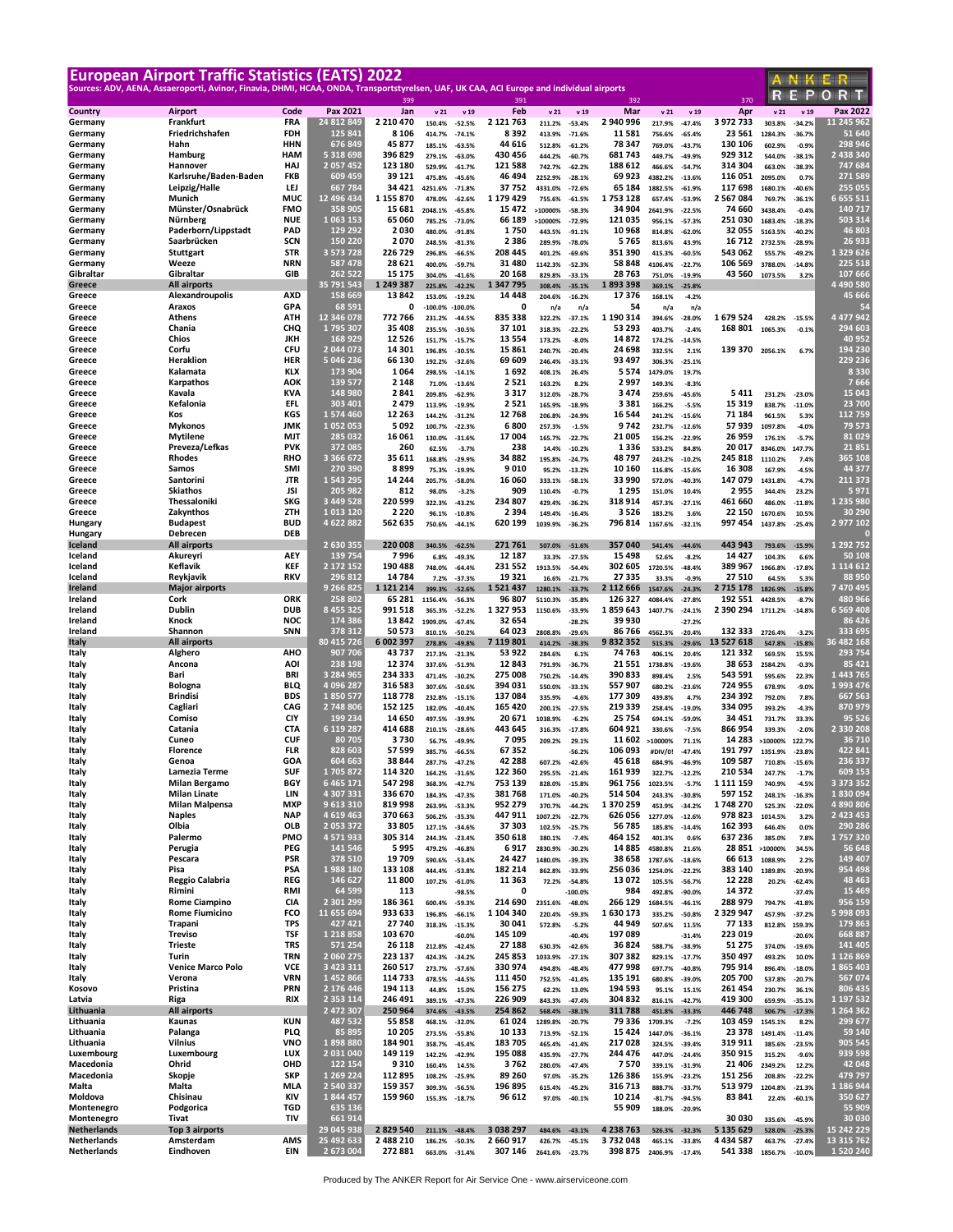|                           | <b>European Airport Traffic Statistics (EATS) 2022</b>                                                                                   |                          |                          |                      |                     |                       |                     |                    |                      |                      |                    |                      |                          |                    |                      | ANKER                    |
|---------------------------|------------------------------------------------------------------------------------------------------------------------------------------|--------------------------|--------------------------|----------------------|---------------------|-----------------------|---------------------|--------------------|----------------------|----------------------|--------------------|----------------------|--------------------------|--------------------|----------------------|--------------------------|
|                           | Sources: ADV, AENA, Assaeroporti, Avinor, Finavia, DHMI, HCAA, ONDA, Transportstyrelsen, UAF, UK CAA, ACI Europe and individual airports |                          |                          |                      |                     |                       |                     |                    |                      |                      |                    |                      |                          |                    |                      |                          |
|                           |                                                                                                                                          |                          |                          | 399                  |                     |                       | 391                 |                    |                      | 392                  |                    |                      | 370                      |                    |                      | REPORT                   |
| Country                   | <b>Airport</b>                                                                                                                           | Code                     | Pax 2021                 | Jan                  | v <sub>21</sub>     | v 19                  | Feb                 | v <sub>21</sub>    | v 19                 | Mar                  | v <sub>21</sub>    | v 19                 | Apr                      | v <sub>21</sub>    | v 19                 | Pax 2022                 |
| Germany                   | Frankfurt<br>Friedrichshafen                                                                                                             | <b>FRA</b><br>FDH        | 24 812 849<br>125 841    | 2 210 470<br>8 1 0 6 | 150.4%              | $-52.5%$              | 2 121 763<br>8392   | 211.2%             | $-53.4%$             | 2 940 996<br>11 581  | 217.9%             | $-47.4%$             | 3 972 733<br>23 561      | 303.8%             | $-34.2%$             | 11 245 962<br>51 640     |
| Germany<br>Germany        | Hahn                                                                                                                                     | <b>HHN</b>               | 676 849                  | 45 877               | 414.7%<br>185.1%    | $-74.1%$<br>$-63.5%$  | 44 616              | 413.9%<br>512.8%   | $-71.6%$<br>$-61.2%$ | 78 347               | 756.6%<br>769.0%   | $-65.4%$<br>$-43.7%$ | 130 106                  | 1284.3%<br>602.9%  | $-36.7%$<br>$-0.9%$  | 298 946                  |
| Germany                   | Hamburg                                                                                                                                  | HAM                      | 5 3 1 8 6 9 8            | 396 829              | 279.1%              | $-63.0%$              | 430 456             | 444.2%             | $-60.7%$             | 681 743              | 449.7%             | $-49.9%$             | 929 312                  | 544.0%             | $-38.1%$             | 2 438 340                |
| Germany                   | Hannover                                                                                                                                 | <b>HAJ</b>               | 2057452                  | 123 180              | 529.9%              | $-61.7%$              | 121 588             | 742.7%             | $-62.2%$             | 188 612              | 466.6%             | $-54.7%$             | 314 304                  | 663.0%             | $-38.3%$             | 747 684                  |
| Germany                   | Karlsruhe/Baden-Baden                                                                                                                    | <b>FKB</b><br>LEJ        | 609 459<br>667 784       | 39 1 21<br>34 421    | 475.8%              | $-45.6%$              | 46 494<br>37752     | 2252.9%            | $-28.1%$             | 69 923               | 4382.2%            | $-13.6%$             | 116 051                  | 2095.0%            | 0.7%                 | 271 589<br>255 055       |
| Germany<br>Germany        | Leipzig/Halle<br>Munich                                                                                                                  | <b>MUC</b>               | 12 496 434               | 1 155 870            | 4251.6%<br>478.0%   | $-71.8%$<br>$-62.6%$  | 1 179 429           | 4331.0%<br>755.6%  | $-72.6%$<br>$-61.5%$ | 65 184<br>1753128    | 1882.5%<br>657.4%  | $-61.9%$<br>$-53.9%$ | 117 698<br>2 567 084     | 1680.1%<br>769.7%  | $-40.6%$<br>$-36.1%$ | 6 655 511                |
| Germany                   | Münster/Osnabrück                                                                                                                        | <b>FMO</b>               | 358 905                  | 15 681               | 2048.1%             | $-65.8%$              | 15 472              | >10000%            | $-58.3%$             | 34 904               | 2641.9%            | $-22.5%$             | 74 660                   | 3438.4%            | $-0.4%$              | 140 717                  |
| Germany                   | Nürnberg                                                                                                                                 | <b>NUE</b>               | 1 063 153                | 65 060               | 785.2%              | $-73.0%$              | 66 189              | >10000%            | $-72.9%$             | 121 035              | 956.1%             | $-57.3%$             | 251 030                  | 1683.4%            | $-18.3%$             | 503 314                  |
| Germany                   | Paderborn/Lippstadt                                                                                                                      | PAD                      | 129 292                  | 2030                 | 480.0%              | $-91.8%$              | 1750                | 443.5%             | $-91.1%$             | 10 968               | 814.8%             | $-62.0%$             | 32 055                   | 5163.5%            | $-40.2%$             | 46 803                   |
| Germany<br>Germany        | Saarbrücken<br>Stuttgart                                                                                                                 | <b>SCN</b><br><b>STR</b> | 150 220<br>3 5 7 3 7 2 8 | 2070<br>226 729      | 248.5%<br>296.8%    | $-81.3%$<br>$-66.5%$  | 2 3 8 6<br>208 445  | 289.9%<br>401.2%   | $-78.0%$<br>$-69.6%$ | 5765<br>351 390      | 813.6%<br>415.3%   | 43.9%<br>$-60.5%$    | 16 712<br>543 062        | 2732.5%<br>555.7%  | $-28.9%$<br>$-49.2%$ | 26 933<br>1 329 626      |
| Germany                   | Weeze                                                                                                                                    | <b>NRN</b>               | 587 478                  | 28 621               | 400.0%              | $-59.7%$              | 31 480              | 1142.3%            | $-52.3%$             | 58 848               | 4106.4%            | $-22.7%$             | 106 569                  | 3788.0%            | $-14.8%$             | 225 518                  |
| Gibraltar                 | Gibraltar                                                                                                                                | GIB                      | 262 522                  | 15 175               | 304.0%              | $-41.6%$              | 20 168              | 829.8%             | $-33.1%$             | 28 763               | 751.0%             | $-19.9%$             | 43 560                   | 1073.5%            | 3.2%                 | 107 666                  |
| Greece                    | All airports                                                                                                                             |                          | 35 791 543               | 1 249 387            | 225.8%              | $-42.2%$              | 1 347 795           | 308.4%             | $-35.1%$             | 1893398              | 369.1%             | $-25.8%$             |                          |                    |                      | 4 490 580                |
| Greece<br>Greece          | Alexandroupolis<br>Araxos                                                                                                                | <b>AXD</b><br><b>GPA</b> | 158 669<br>68 591        | 13842<br>0           | 153.0%<br>$-100.0%$ | $-19.2%$<br>$-100.0%$ | 14 4 48<br>0        | 204.6%<br>n/a      | $-16.2%$<br>n/a      | 17376<br>54          | 168.1%<br>n/a      | $-4.2%$<br>n/a       |                          |                    |                      | 45 666<br>54             |
| Greece                    | <b>Athens</b>                                                                                                                            | ATH                      | 12 346 078               | 772 766              | 231.2%              | $-44.5%$              | 835 338             | 322.2%             | $-37.1%$             | 1 190 314            | 394.6%             | $-28.0%$             | 1679524                  | 428.2%             | $-15.5%$             | 4 477 942                |
| Greece                    | Chania                                                                                                                                   | CHQ                      | 1795307                  | 35 408               | 235.5%              | $-30.5%$              | 37 101              | 318.3%             | $-22.2%$             | 53 293               | 403.7%             | $-2.4%$              | 168 801                  | 1065.3%            | $-0.1%$              | 294 603                  |
| Greece                    | Chios                                                                                                                                    | JKH                      | 168 929                  | 12 5 26              | 151.7%              | $-15.7%$              | 13 5 5 4            | 173.2%             | $-8.0%$              | 14 872               | 174.2%             | $-14.5%$             |                          |                    |                      | 40 952                   |
| Greece                    | Corfu                                                                                                                                    | CFU<br><b>HER</b>        | 2 044 073<br>5 046 236   | 14 301<br>66 130     | 196.8%              | $-30.5%$              | 15 861<br>69 609    | 240.7%             | $-20.4%$             | 24 698<br>93 497     | 332.5%             | 2.1%                 | 139 370                  | 2056.1%            | 6.7%                 | 194 230<br>229 236       |
| Greece<br>Greece          | Heraklion<br>Kalamata                                                                                                                    | <b>KLX</b>               | 173 904                  | 1064                 | 192.2%<br>298.5%    | $-32.6%$<br>$-14.1%$  | 1692                | 246.4%<br>408.1%   | $-33.1%$<br>26.4%    | 5 5 7 4              | 306.3%<br>1479.0%  | $-25.1%$<br>19.7%    |                          |                    |                      | 8330                     |
| Greece                    | Karpathos                                                                                                                                | <b>AOK</b>               | 139 577                  | 2 1 4 8              | 71.0%               | $-13.6%$              | 2521                | 163.2%             | 8.2%                 | 2997                 | 149.3%             | $-8.3%$              |                          |                    |                      | 7666                     |
| Greece                    | Kavala                                                                                                                                   | KVA                      | 148 980                  | 2841                 | 209.8%              | $-62.9%$              | 3317                | 312.0%             | $-28.7%$             | 3474                 | 259.6%             | $-45.6%$             | 5411                     | 231.2%             | $-23.0%$             | 15 043                   |
| Greece                    | Kefalonia                                                                                                                                | <b>EFL</b>               | 303 401                  | 2479                 | 113.9%              | $-19.9%$              | 2521                | 165.9%             | $-18.9%$             | 3 3 8 1              | 166.2%             | $-5.5%$              | 15 3 19                  | 838.7%             | $-11.0%$             | 23 700                   |
| Greece<br>Greece          | Kos<br><b>Mykonos</b>                                                                                                                    | <b>KGS</b><br>JMK        | 1574460<br>1052053       | 12 263<br>5092       | 144.2%<br>100.7%    | $-31.2%$<br>$-22.3%$  | 12768<br>6800       | 206.8%<br>257.3%   | $-24.9%$<br>$-1.5%$  | 16 544<br>9742       | 241.2%<br>232.7%   | $-15.6%$<br>$-12.6%$ | 71 184<br>57 939         | 961.5%<br>1097.8%  | 5.3%<br>$-4.0%$      | 112 759<br>79 573        |
| Greece                    | <b>Mytilene</b>                                                                                                                          | MJT                      | 285 032                  | 16 061               | 130.0%              | $-31.6%$              | 17004               | 165.7%             | $-22.7%$             | 21 005               | 156.2%             | $-22.9%$             | 26 959                   | 176.1%             | $-5.7%$              | 81 0 29                  |
| Greece                    | Preveza/Lefkas                                                                                                                           | <b>PVK</b>               | 372 085                  | 260                  | 62.5%               | $-3.7%$               | 238                 | 14.4%              | $-10.2%$             | 1 3 3 6              | 533.2%             | 84.8%                | 20 017                   | 8346.0%            | 147.7%               | 21 851                   |
| Greece                    | Rhodes                                                                                                                                   | <b>RHO</b>               | 3 3 6 6 6 7 2            | 35 611               | 168.8%              | $-29.9%$              | 34 882              | 195.8%             | $-24.7%$             | 48 797               | 243.2%             | $-10.2%$             | 245 818                  | 1110.2%            | 7.4%                 | 365 108                  |
| Greece<br>Greece          | Samos<br>Santorini                                                                                                                       | <b>SMI</b><br><b>JTR</b> | 270 390<br>1 543 295     | 8899<br>14 244       | 75.3%<br>205.7%     | $-19.9%$<br>$-58.0%$  | 9010<br>16 060      | 95.2%<br>333.1%    | $-13.2%$<br>$-58.1%$ | 10 160<br>33 990     | 116.8%<br>572.0%   | $-15.6%$<br>$-40.3%$ | 16 308<br>147 079        | 167.9%<br>1431.8%  | $-4.5%$<br>$-4.7%$   | 44 377<br>211 373        |
| Greece                    | <b>Skiathos</b>                                                                                                                          | <b>JSI</b>               | 205 982                  | 812                  | 98.0%               | $-3.2%$               | 909                 | 110.4%             | $-0.7%$              | 1 2 9 5              | 151.0%             | 10.4%                | 2955                     | 344.4%             | 23.2%                | 5971                     |
| Greece                    | Thessaloniki                                                                                                                             | <b>SKG</b>               | 3 449 528                | 220 599              | 322.3%              | $-43.2%$              | 234 807             | 429.4%             | $-36.2%$             | 318 914              | 457.3%             | $-27.1%$             | 461 660                  | 486.0%             | $-11.8%$             | 1 235 980                |
| Greece                    | Zakynthos                                                                                                                                | ZTH                      | 1013120                  | 2 2 2 0              | 96.1%               | $-10.8%$              | 2 3 9 4             | 149.4%             | $-16.4%$             | 3 5 2 6              | 183.2%             | 3.6%                 | 22 150                   | 1670.6%            | 10.5%                | 30 290                   |
| Hungary                   | <b>Budapest</b>                                                                                                                          | <b>BUD</b><br><b>DEB</b> | 4622882                  | 562 635              | 750.6%              | $-44.1%$              | 620 199             | 1039.9%            | $-36.2%$             | 796 814              | 1167.6%            | $-32.1%$             | 997 454                  | 1437.8%            | $-25.4%$             | 2977102<br>n             |
| Hungary<br>Iceland        | Debrecen<br>All airports                                                                                                                 |                          | 2 630 355                | 220 008              | 340.5%              | $-62.5%$              | 271 761             | 507.0%             | $-51.6%$             | 357 040              | 541.4%             | $-44.6%$             | 443 943                  | 793.6%             | $-15.9%$             | 1 292 752                |
| Iceland                   | Akureyri                                                                                                                                 | AEY                      | 139 754                  | 7996                 | 6.8%                | $-49.3%$              | 12 187              | 33.3%              | $-27.5%$             | 15 4 98              | 52.6%              | $-8.2%$              | 14 4 27                  | 104.3%             | 6.6%                 | 50 108                   |
| Iceland                   | Keflavik                                                                                                                                 | KEF                      | 2 172 152                | 190 488              | 748.0%              | $-64.4%$              | 231 552             | 1913.5%            | $-54.4%$             | 302 605              | 1720.5%            | $-48.4%$             | 389 967                  | 1966.8%            | $-17.8%$             | 1 1 1 4 6 1 2            |
| Iceland                   | Reykjavik                                                                                                                                | <b>RKV</b>               | 296 812                  | 14 784               | 7.2%                | $-37.3%$              | 19 3 21             | 16.6%              | $-21.7%$             | 27 335               | 33.3%              | $-0.9%$              | 27 510                   | 64.5%              | 5.3%                 | 88 950                   |
| <b>Ireland</b><br>Ireland | <b>Major airports</b><br>Cork                                                                                                            | ORK                      | 9 266 825<br>258 802     | 1 121 214<br>65 281  | 399.3%<br>1156.4%   | $-52.6%$<br>$-56.3%$  | 1521437<br>96 807   | 1280.1%<br>5110.3% | $-33.7%$<br>$-35.8%$ | 2 112 666<br>126 327 | 1547.6%<br>4084.4% | $-24.3%$<br>$-27.8%$ | 2 7 1 5 1 7 8<br>192 551 | 1826.9%<br>4428.5% | 15.8%<br>$-8.7%$     | 7 470 495<br>480 966     |
| Ireland                   | Dublin                                                                                                                                   | <b>DUB</b>               | 8 455 325                | 991 518              | 365.3%              | $-52.2%$              | 1 327 953           | 1150.6%            | $-33.9%$             | 1859643              | 1407.7%            | $-24.1%$             | 2 390 294                | 1711.2%            | $-14.8%$             | 6 569 408                |
| Ireland                   | Knock                                                                                                                                    | <b>NOC</b>               | 174 386                  | 13 842               | 1909.0%             | $-67.4%$              | 32 654              |                    | $-28.2%$             | 39 930               |                    | $-27.2%$             |                          |                    |                      | 86 4 26                  |
| Ireland                   | Shannon                                                                                                                                  | <b>SNN</b>               | 378 312                  | 50 573               | 810.1%              | $-50.2%$              | 64 023              | 2808.8%            | $-29.6%$             | 86 766               | 4562.3%            | $-20.4%$             | 132 333                  | 2726.4%            | $-3.2%$              | 333 695                  |
| Italy<br>Italy            | All airports<br>Alghero                                                                                                                  | AHO                      | 80 415 726<br>907 706    | 6 002 397<br>43737   | 278.8%<br>217.3%    | $-49.8%$<br>$-21.3%$  | 7 119 801<br>53 922 | 414.2%<br>284.6%   | $-38.3%$<br>6.1%     | 9 832 352<br>74 763  | 515.3%<br>406.1%   | $-29.6%$<br>20.4%    | 13 527 618<br>121 332    | 547.8%<br>569.5%   | 15.8%<br>15.5%       | 36 482 168<br>293 754    |
| Italy                     | Ancona                                                                                                                                   | AOI                      | 238 198                  | 12 374               | 337.6%              | $-51.9%$              | 12843               | 791.9%             | $-36.7%$             | 21 551               | 1738.8%            | $-19.6%$             | 38 653                   | 2584.2%            | $-0.3%$              | 85 421                   |
| Italy                     | Bari                                                                                                                                     | <b>BRI</b>               | 3 284 965                | 234 333              | 471.4%              | $-30.2%$              | 275 008             | 750.2%             | $-14.4%$             | 390 833              | 898.4%             | 2.5%                 | 543 591                  | 595.6%             | 22.3%                | 1 443 765                |
| Italy                     | Bologna                                                                                                                                  | <b>BLQ</b>               | 4 096 287                | 316 583              | 307.6%              | $-50.6%$              | 394 031             | 550.0%             | $-33.1%$             | 557 907              | 680.2%             | $-23.6%$             | 724 955                  | 678.9%             | $-9.0%$              | 1993 476                 |
| Italy<br>Italy            | Brindisi<br>Cagliari                                                                                                                     | <b>BDS</b><br>CAG        | 1850577<br>2748806       | 118778<br>152 125    | 232.8%<br>182.0%    | $-15.1%$<br>$-40.4%$  | 137 084<br>165 420  | 335.9%<br>200.1%   | $-4.6%$<br>$-27.5%$  | 177 309<br>219 339   | 439.8%<br>258.4%   | 4.7%<br>$-19.0%$     | 234 392<br>334 095       | 792.0%<br>393.2%   | 7.8%<br>$-4.3%$      | 667 563<br>870 979       |
| Italy                     | Comiso                                                                                                                                   | <b>CIY</b>               | 199 234                  | 14 650               | 497.5%              | $-39.9%$              | 20 671              | 1038.9%            | $-6.2%$              | 25 754               | 694.1%             | $-59.0%$             | 34 451                   | 731.7%             | 33.3%                | 95 526                   |
| Italy                     | Catania                                                                                                                                  | <b>CTA</b>               | 6 119 287                | 414 688              | 210.1%              | $-28.6%$              | 443 645             | 316.3%             | $-17.8%$             | 604 921              | 330.6%             | $-7.5%$              | 866 954                  | 339.3%             | $-2.0%$              | 2 330 208                |
| Italy                     | Cuneo                                                                                                                                    | <b>CUF</b>               | 80 705                   | 3730                 | 56.7%               | $-49.9%$              | 7095                | 209.2%             | 29.1%                | 11 602               | >10000%            | 71.1%                | 14 283                   | >10000%            | 122.7%               | 36 710                   |
| Italy<br>Italv            | <b>Florence</b><br>Genoa                                                                                                                 | <b>FLR</b><br>GOA        | 828 603<br>604 663       | 57 599<br>38 844     | 385.7%<br>287.7%    | $-66.5%$              | 67352<br>42 288     | 607.2%             | $-56.2%$<br>$-42.6%$ | 106 093<br>45 618    | #DIV/0!<br>684.9%  | $-47.4%$<br>$-46.9%$ | 191 797<br>109 587       | 1351.9%<br>710.8%  | $-23.8%$<br>$-15.6%$ | 422 841<br>236 337       |
| Italy                     | Lamezia Terme                                                                                                                            | <b>SUF</b>               | 1705872                  | 114 320              | 164.2%              | $-47.2%$<br>$-31.6%$  | 122 360             | 295.5%             | $-21.4%$             | 161 939              | 322.7%             | $-12.2%$             | 210 534                  | 247.7%             | $-1.7%$              | 609 153                  |
| Italy                     | <b>Milan Bergamo</b>                                                                                                                     | <b>BGY</b>               | 6 4 6 5 1 7 1            | 547 298              | 368.3%              | $-42.7%$              | 753 139             | 828.0%             | $-15.8%$             | 961 756              | 1023.5%            | $-5.7%$              | 1 111 159                | 740.9%             | $-4.5%$              | 3 373 352                |
| Italy                     | <b>Milan Linate</b>                                                                                                                      | LIN                      | 4 307 331                | 336 670              | 184.3%              | $-47.3%$              | 381768              | 171.0%             | $-40.2%$             | 514 504              | 243.3%             | $-30.8%$             | 597 152                  | 248.1%             | $-16.3%$             | 1830094                  |
| Italy                     | <b>Milan Malpensa</b>                                                                                                                    | <b>MXP</b>               | 9 613 310                | 819 998              | 263.9%              | $-53.3%$              | 952 279             | 370.7%             | $-44.2%$             | 1 370 259            | 453.9%             | $-34.2%$             | 1748270                  | 525.3%             | $-22.0%$             | 4890806                  |
| Italy<br>Italy            | <b>Naples</b><br>Olbia                                                                                                                   | <b>NAP</b><br>OLB        | 4 6 19 4 63<br>2 053 372 | 370 663<br>33 805    | 506.2%<br>127.1%    | $-35.3%$<br>$-34.6%$  | 447 911<br>37 303   | 1007.2%<br>102.5%  | $-22.7%$<br>$-25.7%$ | 626 056<br>56 785    | 1277.0%<br>185.8%  | $-12.6%$<br>$-14.4%$ | 978 823<br>162 393       | 1014.5%<br>646.4%  | 3.2%<br>0.0%         | 2 4 2 3 4 5 3<br>290 286 |
| Italy                     | Palermo                                                                                                                                  | PMO                      | 4571933                  | 305 314              | 244.3%              | $-23.4%$              | 350 618             | 380.1%             | $-7.4%$              | 464 152              | 401.3%             | 0.6%                 | 637 236                  | 385.0%             | 7.8%                 | 1757320                  |
| Italy                     | Perugia                                                                                                                                  | PEG                      | 141 546                  | 5995                 | 479.2%              | $-46.8%$              | 6917                | 2830.9%            | $-30.2%$             | 14 8 85              | 4580.8%            | 21.6%                | 28 851                   | >10000%            | 34.5%                | 56 648                   |
| Italy                     | Pescara<br>Pisa                                                                                                                          | <b>PSR</b><br>PSA        | 378 510<br>1988 180      | 19 709<br>133 108    | 590.6%              | $-53.4%$              | 24 4 27<br>182 214  | 1480.0%            | $-39.3%$             | 38 658<br>256 036    | 1787.6%            | $-18.6%$             | 66 613<br>383 140        | 1088.9%            | 2.2%                 | 149 407<br>954 498       |
| Italy<br>Italy            | <b>Reggio Calabria</b>                                                                                                                   | <b>REG</b>               | 146 627                  | 11 800               | 444.4%<br>107.2%    | $-53.8%$<br>$-61.0%$  | 11 363              | 862.8%<br>72.2%    | $-33.9%$<br>$-54.8%$ | 13 072               | 1254.0%<br>105.5%  | $-22.2%$<br>$-56.7%$ | 12 2 2 8                 | 1389.8%<br>20.2%   | $-20.9%$<br>$-62.4%$ | 48 463                   |
| Italy                     | Rimini                                                                                                                                   | RMI                      | 64 599                   | 113                  |                     | $-98.5%$              | 0                   |                    | $-100.0\%$           | 984                  | 492.8%             | $-90.0%$             | 14 372                   |                    | $-37.4%$             | 15 4 69                  |
| Italy                     | <b>Rome Ciampino</b>                                                                                                                     | <b>CIA</b>               | 2 301 299                | 186 361              | 600.4%              | $-59.3%$              | 214 690             | 2351.6%            | $-48.0%$             | 266 129              | 1684.5%            | $-46.1%$             | 288 979                  | 794.7%             | $-41.8%$             | 956 159                  |
| Italy                     | <b>Rome Fiumicino</b>                                                                                                                    | FCO                      | 11 655 694               | 933 633              | 196.8%              | $-66.1%$              | 1 104 340           | 220.4%             | $-59.3%$             | 1630173              | 335.2%             | $-50.8%$             | 2 329 947                | 457.9%             | $-37.2%$             | 5 998 093                |
| Italy<br>Italy            | Trapani<br><b>Treviso</b>                                                                                                                | <b>TPS</b><br>TSF        | 427 421<br>1 2 1 8 8 5 8 | 27 740<br>103 670    | 318.3%              | $-15.3%$<br>$-60.0%$  | 30 041<br>145 109   | 572.8%             | $-5.2%$<br>$-40.4%$  | 44 949<br>197 089    | 507.6%             | 11.5%<br>$-31.4%$    | 77 133<br>223 019        | 812.8%             | 159.3%<br>$-20.6%$   | 179 863<br>668 887       |
| Italy                     | <b>Trieste</b>                                                                                                                           | <b>TRS</b>               | 571 254                  | 26 118               | 212.8%              | $-42.4%$              | 27 188              | 630.3%             | $-42.6%$             | 36 824               | 588.7%             | $-38.9%$             | 51 275                   | 374.0%             | $-19.6%$             | 141 405                  |
| Italy                     | Turin                                                                                                                                    | <b>TRN</b>               | 2 060 275                | 223 137              | 424.3%              | $-34.2%$              | 245 853             | 1033.9%            | $-27.1%$             | 307 382              | 829.1%             | $-17.7%$             | 350 497                  | 493.2%             | 10.0%                | 1 126 869                |
| Italy                     | <b>Venice Marco Polo</b>                                                                                                                 | <b>VCE</b>               | 3 4 2 3 3 1 1            | 260 517              | 273.7%              | $-57.6%$              | 330 974             | 494.8%             | $-48.4%$             | 477 998              | 697.7%             | $-40.8%$             | 795 914                  | 896.4%             | $-18.0%$             | 1865 403                 |
| Italy<br>Kosovo           | Verona<br>Pristina                                                                                                                       | <b>VRN</b><br><b>PRN</b> | 1 452 866<br>2 176 446   | 114 733<br>194 113   | 478.5%<br>44.8%     | $-44.5%$<br>15.0%     | 111 450<br>156 275  | 752.5%<br>62.2%    | $-41.4%$<br>13.0%    | 135 191<br>194 593   | 680.8%<br>95.1%    | $-39.0%$             | 205 700<br>261 454       | 537.8%<br>230.7%   | $-20.7%$<br>36.1%    | 567 074<br>806 435       |
| Latvia                    | Riga                                                                                                                                     | <b>RIX</b>               | 2 3 5 3 1 1 4            | 246 491              | 389.1%              | $-47.3%$              | 226 909             | 843.3%             | $-47.4%$             | 304 832              | 816.1%             | 15.1%<br>$-42.7%$    | 419 300                  | 659.9%             | $-35.1%$             | 1 197 532                |
| Lithuania                 | All airports                                                                                                                             |                          | 2 472 307                | 250 964              | 374.6%              | $-43.5%$              | 254 862             | 568.4%             | $-38.1%$             | 311 788              | 451.8%             | $-33.3%$             | 446 748                  | 506.7%             | $-17.3%$             | 1 264 362                |
| Lithuania                 | Kaunas                                                                                                                                   | KUN                      | 487 532                  | 55 858               | 468.1%              | $-32.0%$              | 61 024              | 1289.8%            | $-20.7%$             | 79 336               | 1709.3%            | $-7.2%$              | 103 459                  | 1545.1%            | 8.2%                 | 299 677                  |
| Lithuania                 | Palanga                                                                                                                                  | <b>PLQ</b><br><b>VNO</b> | 85 895<br>1898880        | 10 205               | 273.5%              | $-55.8%$              | 10 133              | 713.9%             | $-52.1%$             | 15 4 24              | 1447.0%            | $-36.1%$             | 23 378                   | 1491.4%            | $-11.4%$             | 59 140                   |
| Lithuania<br>Luxembourg   | Vilnius<br>Luxembourg                                                                                                                    | <b>LUX</b>               | 2 031 040                | 184 901<br>149 119   | 358.7%<br>142.2%    | $-45.4%$<br>$-42.9%$  | 183 705<br>195 088  | 465.4%<br>435.9%   | $-41.4%$<br>$-27.7%$ | 217 028<br>244 476   | 324.5%<br>447.0%   | $-39.4%$<br>$-24.4%$ | 319 911<br>350 915       | 385.6%<br>315.2%   | $-23.5%$<br>$-9.6%$  | 905 545<br>939 598       |
| Macedonia                 | Ohrid                                                                                                                                    | OHD                      | 122 154                  | 9310                 | 160.4%              | 14.5%                 | 3762                | 280.0%             | $-47.4%$             | 7570                 | 339.1%             | $-31.9%$             | 21 40 6                  | 2349.2%            | 12.2%                | 42 048                   |
| Macedonia                 | Skopje                                                                                                                                   | <b>SKP</b>               | 1 269 224                | 112 895              | 108.2%              | $-25.9%$              | 89 260              | 97.0%              | $-35.2%$             | 126 386              | 155.9%             | $-23.2%$             | 151 256                  | 208.8%             | $-22.2%$             | 479 797                  |
| Malta                     | Malta                                                                                                                                    | MLA                      | 2 540 337                | 159 357              | 309.3%              | $-56.5%$              | 196 895             | 615.4%             | $-45.2%$             | 316 713              | 888.7%             | $-33.7%$             | 513 979                  | 1204.8%            | $-21.3%$             | 1 186 944                |
| Moldova<br>Montenegro     | Chisinau<br>Podgorica                                                                                                                    | KIV<br>TGD               | 1844 457<br>635 136      | 159 960              | 155.3%              | $-18.7%$              | 96 612              | 97.0%              | $-40.1%$             | 10 214<br>55 909     | $-81.7%$<br>188.0% | $-94.5%$<br>$-20.9%$ | 83 841                   | 22.4%              | $-60.1%$             | 350 627<br>55 909        |
| Montenegro                | Tivat                                                                                                                                    | TIV                      | 661914                   |                      |                     |                       |                     |                    |                      |                      |                    |                      | 30 030                   | 335.6%             | $-45.9%$             | 30 030                   |
| <b>Netherlands</b>        | Top 3 airports                                                                                                                           |                          | 29 045 938               | 2 829 540            | 211.1%              | $-48.4%$              | 3 038 297           | 484.6%             | $-43.1%$             | 4 238 763            | 526.3%             | $-32.3%$             | 5 135 629                | 528.0%             | $-25.3%$             | 15 242 229               |
| <b>Netherlands</b>        | Amsterdam                                                                                                                                | AMS                      | 25 492 633               | 2 488 210            | 186.2%              | $-50.3%$              | 2 660 917           | 426.7%             | $-45.1%$             | 3732048              | 465.1%             | $-33.8%$             | 4 434 587                | 463.7%             | $-27.4%$             | 13 315 762               |
| Netherlands               | Eindhoven                                                                                                                                | EIN                      | 2 673 004                | 272 881              | 663.0% -31.4%       |                       | 307 146             | 2641.6%            | $-23.7%$             | 398 875              | 2406.9%            | $-17.4%$             | 541 338                  | 1856.7%            | $-10.0%$             | 1 520 240                |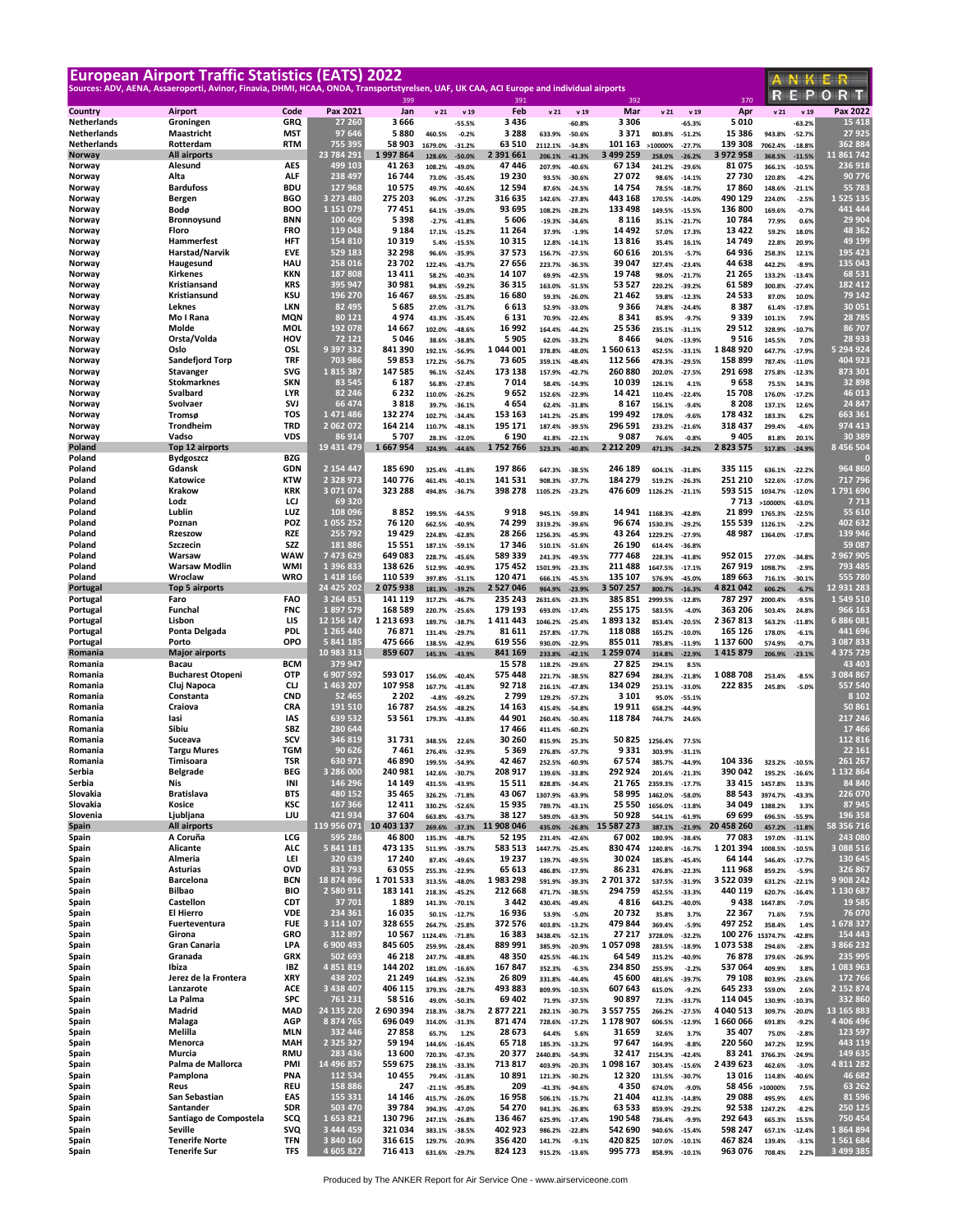|                               | <b>European Airport Traffic Statistics (EATS) 2022</b>                                                                                   |                          |                             |                     |                   |                      |                      |                    |                      |                         |                    |                      |                       |                    |                      | ANKER                 |
|-------------------------------|------------------------------------------------------------------------------------------------------------------------------------------|--------------------------|-----------------------------|---------------------|-------------------|----------------------|----------------------|--------------------|----------------------|-------------------------|--------------------|----------------------|-----------------------|--------------------|----------------------|-----------------------|
|                               | Sources: ADV, AENA, Assaeroporti, Avinor, Finavia, DHMI, HCAA, ONDA, Transportstyrelsen, UAF, UK CAA, ACI Europe and individual airports |                          |                             |                     |                   |                      |                      |                    |                      |                         |                    |                      |                       |                    |                      | REPORT                |
|                               |                                                                                                                                          |                          |                             | 399                 |                   |                      | 391                  |                    |                      | 392                     |                    |                      | 370                   |                    |                      |                       |
| Country<br><b>Netherlands</b> | <b>Airport</b><br>Groningen                                                                                                              | Code<br>GRQ              | Pax 2021<br>27 260          | Jan<br>3666         | v <sub>21</sub>   | v 19<br>$-55.5%$     | Feb<br>3436          | v21                | v 19<br>$-60.8%$     | Mar<br>3 3 0 6          | v <sub>21</sub>    | v 19<br>$-65.3%$     | Apr<br>5010           | v21                | v 19<br>$-63.2%$     | Pax 2022<br>15 4 18   |
| Netherlands                   | Maastricht                                                                                                                               | MST                      | 97 646                      | 5880                | 460.5%            | $-0.2%$              | 3 2 8 8              | 633.9%             | $-50.6%$             | 3371                    | 803.8%             | $-51.2%$             | 15 386                | 943.8%             | $-52.7%$             | 27 925                |
| <b>Netherlands</b>            | Rotterdam                                                                                                                                | <b>RTM</b>               | 755 395                     | 58 903              | 1679.0%           | $-31.2%$             | 63 510               | 2112.1%            | $-34.8%$             | 101 163                 | >10000%            | $-27.7%$             | 139 308               | 7062.4%            | $-18.8%$             | 362 884               |
| <b>Norway</b>                 | All airports<br>Alesund                                                                                                                  | AES                      | 23 784 291<br>499 103       | 1997864<br>41 263   | 128.6%            | $-50.0%$             | 2 391 661<br>47446   | 206.1%             | $-41.3%$             | 3 499 259<br>67 134     | 258.0%             | $-26.2%$             | 3 972 958<br>81 075   | 368.5%             | $-11.5%$             | 11 861 742<br>236 918 |
| Norway<br>Norway              | Alta                                                                                                                                     | ALF                      | 238 497                     | 16 744              | 108.2%<br>73.0%   | $-49.0%$<br>$-35.4%$ | 19 230               | 207.9%<br>93.5%    | $-40.6%$<br>$-30.6%$ | 27 072                  | 241.2%<br>98.6%    | $-29.6%$<br>$-14.1%$ | 27 730                | 366.1%<br>120.8%   | $-10.5%$<br>$-4.2%$  | 90 776                |
| Norway                        | <b>Bardufoss</b>                                                                                                                         | <b>BDU</b>               | 127 968                     | 10575               | 49.7%             | $-40.6%$             | 12 5 94              | 87.6%              | $-24.5%$             | 14 754                  | 78.5%              | $-18.7%$             | 17860                 | 148.6%             | $-21.1%$             | 55 783                |
| Norway                        | Bergen                                                                                                                                   | <b>BGO</b>               | 3 273 480                   | 275 203             | 96.0%             | $-37.2%$             | 316 635              | 142.6%             | $-27.8%$             | 443 168                 | 170.5%             | $-14.0%$             | 490 129               | 224.0%             | $-2.5%$              | 1 5 2 5 1 3 5         |
| Norway<br>Norway              | Bodø<br>Bronnoysund                                                                                                                      | <b>BOO</b><br><b>BNN</b> | 1 1 5 1 0 7 9<br>100 409    | 77451<br>5 3 9 8    | 64.1%<br>$-2.7%$  | $-39.0%$<br>$-41.8%$ | 93 695<br>5 6 0 6    | 108.2%<br>$-19.3%$ | $-28.2%$<br>$-34.6%$ | 133 498<br>8 1 1 6      | 149.5%<br>35.1%    | $-15.5%$<br>$-21.7%$ | 136 800<br>10 784     | 169.6%<br>77.9%    | $-0.7%$<br>0.6%      | 441 444<br>29 904     |
| Norway                        | Floro                                                                                                                                    | <b>FRO</b>               | 119 048                     | 9 1 8 4             | 17.1%             | $-15.2%$             | 11 264               | 37.9%              | $-1.9%$              | 14 492                  | 57.0%              | 17.3%                | 13 4 22               | 59.2%              | 18.0%                | 48 3 62               |
| Norway                        | Hammerfest                                                                                                                               | HFT                      | 154 810                     | 10319               | 5.4%              | $-15.5%$             | 10 3 15              | 12.8%              | $-14.1%$             | 13816                   | 35.4%              | 16.1%                | 14 749                | 22.8%              | 20.9%                | 49 199                |
| Norway                        | Harstad/Narvik                                                                                                                           | <b>EVE</b><br>HAU        | 529 183<br>258 016          | 32 298              | 96.6%             | $-35.9%$             | 37 573               | 156.7%             | $-27.5%$             | 60 616                  | 201.5%             | $-5.7%$              | 64 936                | 258.3%             | 12.1%                | 195 423<br>135 043    |
| Norway<br>Norway              | Haugesund<br>Kirkenes                                                                                                                    | <b>KKN</b>               | 187 808                     | 23 702<br>13 411    | 122.4%<br>58.2%   | $-43.7%$<br>$-40.3%$ | 27 656<br>14 107     | 223.7%<br>69.9%    | $-36.5%$<br>$-42.5%$ | 39 047<br>19 748        | 327.4%<br>98.0%    | $-23.4%$<br>$-21.7%$ | 44 638<br>21 265      | 442.2%<br>133.2%   | $-8.9%$<br>$-13.4%$  | 68 531                |
| Norway                        | Kristiansand                                                                                                                             | <b>KRS</b>               | 395 947                     | 30 981              | 94.8%             | $-59.2%$             | 36 315               | 163.0%             | $-51.5%$             | 53 527                  | 220.2%             | $-39.2%$             | 61 589                | 300.8%             | $-27.4%$             | 182 412               |
| Norway                        | Kristiansund                                                                                                                             | KSU                      | 196 270                     | 16 4 67             | 69.5%             | $-25.8%$             | 16 680               | 59.3%              | $-26.0%$             | 21 4 62                 | 59.8%              | $-12.3%$             | 24 533                | 87.0%              | 10.0%                | 79 142                |
| Norway<br>Norway              | Leknes<br>Mo I Rana                                                                                                                      | <b>LKN</b><br><b>MQN</b> | 82 495<br>80 121            | 5685<br>4974        | 27.0%             | $-31.7%$             | 6 6 1 3<br>6 1 3 1   | 52.9%<br>70.9%     | $-33.0%$<br>$-22.4%$ | 9 3 6 6<br>8 3 4 1      | 74.8%              | $-24.4%$             | 8387<br>9339          | 61.4%              | $-17.8%$             | 30 051<br>28785       |
| Norway                        | Molde                                                                                                                                    | MOL                      | 192 078                     | 14 667              | 43.3%<br>102.0%   | $-35.4%$<br>$-48.6%$ | 16 992               | 164.4%             | $-44.2%$             | 25 536                  | 85.9%<br>235.1%    | $-9.7%$<br>$-31.1%$  | 29 5 12               | 101.1%<br>328.9%   | 7.9%<br>$-10.7%$     | 86 707                |
| Norway                        | Orsta/Volda                                                                                                                              | HOV                      | 72 12 1                     | 5046                | 38.6%             | $-38.8%$             | 5905                 | 62.0%              | $-33.2%$             | 8466                    | 94.0%              | $-13.9%$             | 9516                  | 145.5%             | 7.0%                 | 28 933                |
| Norway                        | Oslo                                                                                                                                     | OSL                      | 9 397 332                   | 841 390             | 192.1%            | $-56.9%$             | 1 044 001            | 378.8%             | $-48.0%$             | 1 560 613               | 452.5%             | $-33.1%$             | 1848920               | 647.7%             | $-17.9%$             | 5 294 924             |
| Norway<br>Norway              | <b>Sandefjord Torp</b><br>Stavanger                                                                                                      | <b>TRF</b><br><b>SVG</b> | 703 986<br>1815387          | 59853<br>147 585    | 172.2%<br>96.1%   | $-56.7%$<br>$-52.4%$ | 73 605<br>173 138    | 359.1%<br>157.9%   | $-48.4%$<br>$-42.7%$ | 112 566<br>260 880      | 478.3%<br>202.0%   | $-29.5%$<br>$-27.5%$ | 158 899<br>291 698    | 787.4%<br>275.8%   | $-11.0%$<br>$-12.3%$ | 404 923<br>873 301    |
| Norway                        | <b>Stokmarknes</b>                                                                                                                       | <b>SKN</b>               | 83 545                      | 6 187               | 56.8%             | $-27.8%$             | 7014                 | 58.4%              | $-14.9%$             | 10 039                  | 126.1%             | 4.1%                 | 9658                  | 75.5%              | 14.3%                | 32 898                |
| Norway                        | Svalbard                                                                                                                                 | <b>LYR</b>               | 82 246                      | 6 2 3 2             | 110.0%            | $-26.2%$             | 9652                 | 152.6%             | $-22.9%$             | 14 421                  | 110.4%             | $-22.4%$             | 15 708                | 176.0%             | $-17.2%$             | 46 013                |
| Norway                        | Svolvaer                                                                                                                                 | <b>SVJ</b>               | 66 474                      | 3818                | 39.7%             | $-36.1%$             | 4654                 | 62.4%              | $-31.8%$             | 8 1 6 7                 | 156.1%             | $-9.4%$              | 8 2 0 8               | 137.1%             | 12.6%                | 24 847                |
| Norway                        | Tromsø<br>Trondheim                                                                                                                      | <b>TOS</b><br><b>TRD</b> | 1471486<br>2 062 072        | 132 274<br>164 214  | 102.7%            | $-34.4%$             | 153 163<br>195 171   | 141.2%             | $-25.8%$             | 199 492<br>296 591      | 178.0%             | $-9.6%$              | 178 432<br>318 437    | 183.3%             | 6.2%                 | 663 361<br>974 413    |
| Norway<br>Norway              | Vadso                                                                                                                                    | <b>VDS</b>               | 86 914                      | 5707                | 110.7%<br>28.3%   | $-48.1%$<br>$-32.0%$ | 6 1 9 0              | 187.4%<br>41.8%    | $-39.5%$<br>$-22.1%$ | 9087                    | 233.2%<br>76.6%    | $-21.6%$<br>$-0.8%$  | 9405                  | 299.4%<br>81.8%    | $-4.6%$<br>20.1%     | 30 389                |
| Poland                        | Top 12 airports                                                                                                                          |                          | 19 431 479                  | 1667954             | 324.9%            | $-44.6%$             | 1752766              | 523.3%             | $-40.8%$             | 2 212 209               | 471.3%             | $-34.2%$             | 2 823 575             | 517.8%             | $-24.9%$             | 8 456 504             |
| Poland                        | <b>Bydgoszcz</b>                                                                                                                         | <b>BZG</b>               |                             |                     |                   |                      |                      |                    |                      |                         |                    |                      |                       |                    |                      | 0                     |
| Poland<br>Poland              | Gdansk<br>Katowice                                                                                                                       | GDN<br><b>KTW</b>        | 2 154 447<br>2 3 2 8 9 7 3  | 185 690<br>140 776  | 325.4%<br>461.4%  | $-41.8%$<br>$-40.1%$ | 197 866<br>141 531   | 647.3%<br>908.3%   | $-38.5%$<br>$-37.7%$ | 246 189<br>184 279      | 604.1%<br>519.2%   | $-31.8%$<br>$-26.3%$ | 335 115<br>251 210    | 636.1%<br>522.6%   | $-22.2%$<br>$-17.0%$ | 964 860<br>717 796    |
| Poland                        | Krakow                                                                                                                                   | <b>KRK</b>               | 3 071 074                   | 323 288             | 494.8%            | $-36.7%$             | 398 278              | 1105.2%            | $-23.2%$             | 476 609                 | 1126.2%            | $-21.1%$             | 593 515               | 1034.7%            | $-12.0%$             | 1791690               |
| Poland                        | Lodz                                                                                                                                     | LCJ                      | 69 320                      |                     |                   |                      |                      |                    |                      |                         |                    |                      | 7713                  | >10000%            | $-63.0%$             | 7713                  |
| Poland                        | Lublin                                                                                                                                   | LUZ                      | 108 096                     | 8852                | 199.5%            | $-64.5%$             | 9918                 | 945.1%             | $-59.8%$             | 14 941                  | 1168.3%            | $-42.8%$             | 21899                 | 1765.3%            | $-22.5%$             | 55 610                |
| Poland<br>Poland              | Poznan<br><b>Rzeszow</b>                                                                                                                 | POZ<br><b>RZE</b>        | 1055252<br>255 792          | 76 120<br>19 4 29   | 662.5%            | $-40.9%$             | 74 299<br>28 26 6    | 3319.2%            | $-39.6%$             | 96 674<br>43 264        | 1530.3%            | $-29.2%$             | 155 539<br>48 987     | 1126.1%            | $-2.2%$              | 402 632<br>139 946    |
| Poland                        | Szczecin                                                                                                                                 | SZZ                      | 181886                      | 15 551              | 224.8%<br>187.1%  | $-62.8%$<br>$-59.1%$ | 17346                | 1256.3%<br>510.1%  | $-45.9%$<br>$-51.6%$ | 26 190                  | 1229.2%<br>614.4%  | $-27.9%$<br>$-36.8%$ |                       | 1364.0%            | $-17.8%$             | 59 087                |
| Poland                        | Warsaw                                                                                                                                   | <b>WAW</b>               | 7 473 629                   | 649 083             | 228.7%            | $-45.6%$             | 589 339              | 241.3%             | $-49.5%$             | 777 468                 | 228.3%             | $-41.8%$             | 952 015               | 277.0%             | $-34.8%$             | 2 967 905             |
| Poland                        | <b>Warsaw Modlin</b>                                                                                                                     | WMI                      | 1 396 833                   | 138 626             | 512.9%            | $-40.9%$             | 175 452              | 1501.9%            | $-23.3%$             | 211 488                 | 1647.5%            | $-17.1%$             | 267 919               | 1098.7%            | $-2.9%$              | 793 485               |
| Poland                        | Wroclaw<br><b>Top 5 airports</b>                                                                                                         | <b>WRO</b>               | 1 4 1 8 1 6 6<br>24 425 202 | 110 539<br>2075938  | 397.8%            | $-51.1%$             | 120 471<br>2 527 046 | 666.1%             | $-45.5%$             | 135 107<br>3 507 257    | 576.9%             | $-45.0%$             | 189 663<br>4 821 042  | 716.1%             | $-30.1%$             | 555 780<br>12 931 283 |
| Portugal<br>Portugal          | Faro                                                                                                                                     | <b>FAO</b>               | 3 2 6 4 8 5 1               | 141 119             | 181.3%<br>317.2%  | $-39.2%$<br>$-46.7%$ | 235 243              | 964.9%<br>2631.6%  | $-23.9%$<br>$-23.3%$ | 385 851                 | 800.7%<br>2999.5%  | $-16.3%$<br>$-12.8%$ | 787 297               | 606.2%<br>2000.4%  | $-6.7%$<br>$-9.5%$   | 1 549 510             |
| Portugal                      | Funchal                                                                                                                                  | <b>FNC</b>               | 1897579                     | 168 589             | 220.7%            | $-25.6%$             | 179 193              | 693.0%             | $-17.4%$             | 255 175                 | 583.5%             | $-4.0%$              | 363 206               | 503.4%             | 24.8%                | 966 163               |
| Portugal                      | Lisbon                                                                                                                                   | LIS                      | 12 156 147                  | 1 2 1 3 6 9 3       | 189.7%            | $-38.7%$             | 1411443              | 1046.2%            | $-25.4%$             | 1893132                 | 853.4%             | $-20.5%$             | 2 3 6 7 8 1 3         | 563.2%             | $-11.8%$             | 6 886 081             |
| Portugal<br>Portugal          | Ponta Delgada<br>Porto                                                                                                                   | <b>PDL</b><br>OPO        | 1 265 440<br>5 841 185      | 76871<br>475 666    | 131.4%<br>138.5%  | $-29.7%$<br>$-42.9%$ | 81 611<br>619 556    | 257.8%<br>930.0%   | $-17.7%$<br>$-22.9%$ | 118 088<br>855 011      | 165.2%<br>785.8%   | $-10.0%$<br>$-11.9%$ | 165 126<br>1 137 600  | 178.0%<br>574.9%   | $-6.1%$              | 441 696<br>3 087 833  |
| Romania                       | <b>Major airports</b>                                                                                                                    |                          | 10 983 313                  | 859 607             | 145.3%            | $-43.9%$             | 841 169              | 233.8%             | $-42.1%$             | 1 259 074               | 314.8%             | $-22.9%$             | 1 4 1 5 8 7 9         | 206.9%             | $-0.7%$<br>$-23.1%$  | 4 375 729             |
| Romania                       | Bacau                                                                                                                                    | <b>BCM</b>               | 379 947                     |                     |                   |                      | 15 5 78              | 118.2%             | $-29.6%$             | 27825                   | 294.1%             | 8.5%                 |                       |                    |                      | 43 403                |
| Romania                       | <b>Bucharest Otopeni</b>                                                                                                                 | <b>OTP</b>               | 6 907 592                   | 593 017             | 156.0%            | $-40.4%$             | 575 448              | 221.7%             | $-38.5%$             | 827 694                 | 284.3%             | $-21.8%$             | 1088708               | 253.4%             | $-8.5%$              | 3 084 867             |
| Romania<br>Romania            | Cluj Napoca<br>Constanta                                                                                                                 | <b>CLJ</b><br><b>CND</b> | 1 463 207<br>52 4 65        | 107958<br>2 2 0 2   | 167.7%<br>$-4.8%$ | $-41.8%$<br>$-69.2%$ | 92718<br>2 7 9 9     | 216.1%<br>129.2%   | $-47.8%$<br>$-57.2%$ | 134 029<br>3 10 1       | 253.1%<br>95.0%    | $-33.0%$<br>$-55.1%$ | 222 835               | 245.8%             | $-5.0%$              | 557 540<br>8 1 0 2    |
| Romania                       | Craiova                                                                                                                                  | CRA                      | 191 510                     | 16787               | 254.5%            | $-48.2%$             | 14 163               | 415.4%             | $-54.8%$             | 19 911                  | 658.2%             | $-44.9%$             |                       |                    |                      | 50 861                |
| Romania                       | lasi                                                                                                                                     | IAS                      | 639 532                     | 53 561              | 179.3%            | $-43.8%$             | 44 901               | 260.4%             | $-50.4%$             | 118 784                 | 744.7%             | 24.6%                |                       |                    |                      | 217 246               |
| Romania                       | Sibiu                                                                                                                                    | <b>SBZ</b>               | 280 644<br>346 819          |                     |                   |                      | 17466                | 411.4%             | $-60.2%$             |                         |                    |                      |                       |                    |                      | 17 466<br>112 816     |
| Romania<br>Romania            | Suceava<br><b>Targu Mures</b>                                                                                                            | <b>SCV</b><br>TGM        | 90 626                      | 31731<br>7461       | 348.5%<br>276.4%  | 22.6%<br>$-32.9%$    | 30 260<br>5 3 6 9    | 815.9%<br>276.8%   | 25.3%<br>$-57.7%$    | 50 825 1256.4%<br>9331  | 303.9% -31.1%      | 77.5%                |                       |                    |                      | 22 16 1               |
| Romania                       | Timisoara                                                                                                                                | TSR                      | 630 971                     | 46 890              | 199.5%            | $-54.9%$             | 42 467               | 252<br>.5%         | $-60.9%$             | 67 574                  | 385.7%             | $-44.99$             | 104 336 323.2% -10.5% |                    |                      | 261 267               |
| Serbia                        | <b>Belgrade</b>                                                                                                                          | <b>BEG</b>               | 3 286 000                   | 240 981             | 142.6%            | $-30.7%$             | 208 917              | 139.6%             | $-33.8%$             | 292 924                 | 201.6%             | $-21.3%$             | 390 042               | 195.2%             | $-16.6%$             | 1 132 864             |
| Serbia                        | Nis<br><b>Bratislava</b>                                                                                                                 | INI<br><b>BTS</b>        | 146 296<br>480 152          | 14 14 9             | 431.5%            | $-43.9%$             | 15 5 11              | 828.8%             | $-34.4%$             | 21 765                  | 2359.3%            | $-17.7%$             | 33 415                | 1457.8%            | 13.3%                | 84 840<br>226 070     |
| Slovakia<br>Slovakia          | Kosice                                                                                                                                   | KSC                      | 167 366                     | 35 4 65<br>12 4 11  | 326.2%<br>330.2%  | $-71.8%$<br>$-52.6%$ | 43 067<br>15 935     | 1307.9%<br>789.7%  | $-63.9%$<br>$-43.1%$ | 58 995<br>25 550        | 1462.0%<br>1656.0% | $-58.0%$<br>$-13.8%$ | 88 543<br>34 049      | 3974.7%<br>1388.2% | $-43.3%$<br>3.3%     | 87 945                |
| Slovenia                      | Ljubljana                                                                                                                                | LJU                      | 421934                      | 37 604              | 663.8%            | $-63.7%$             | 38 127               | 589.0%             | $-63.9%$             | 50 928                  | 544.1%             | $-61.9%$             | 69 699                | 696.5%             | $-55.9%$             | 196 358               |
| <b>Spain</b>                  | All airports                                                                                                                             |                          | 119 956 071                 | 10 403 137          | 269.6%            | $-37.3%$             | 11 908 046           | 435.0%             | $-26.8%$             | 15 587 273              | 387.1%             | $-21.9%$             | 20 458 260            | 457.2%             | $-11.8%$             | 58 356 716            |
| Spain<br>Spain                | A Coruña<br>Alicante                                                                                                                     | LCG<br><b>ALC</b>        | 595 286<br>5 841 181        | 46 800<br>473 135   | 135.3%            | $-48.7%$             | 52 195<br>583 513    | 231.4%             | $-42.6%$             | 67 002<br>830 474       | 180.9%             | $-38.4%$             | 77 083<br>1 201 394   | 197.0%             | $-31.1%$             | 243 080<br>3 088 516  |
| Spain                         | Almeria                                                                                                                                  | LEI                      | 320 639                     | 17 240              | 511.9%<br>87.4%   | $-39.7%$<br>$-49.6%$ | 19 237               | 1447.7%<br>139.7%  | $-25.4%$<br>$-49.5%$ | 30 024                  | 1240.8%<br>185.8%  | $-16.7%$<br>$-45.4%$ | 64 144                | 1008.5%<br>546.4%  | $-10.5%$<br>$-17.7%$ | 130 645               |
| Spain                         | <b>Asturias</b>                                                                                                                          | OVD                      | 831 793                     | 63 055              | 255.3%            | $-22.9%$             | 65 613               | 486.8%             | $-17.9%$             | 86 231                  | 476.8%             | $-22.3%$             | 111 968               | 859.2%             | $-5.9%$              | 326 867               |
| Spain                         | <b>Barcelona</b>                                                                                                                         | <b>BCN</b>               | 18 874 896                  | 1701533             | 313.5%            | $-48.0%$             | 1983 298             | 591.9%             | $-39.3%$             | 2 701 372               | 537.5%             | $-31.9%$             | 3 522 039             | 631.2%             | $-22.1%$             | 9 908 242             |
| Spain<br>Spain                | Bilbao<br>Castellon                                                                                                                      | <b>BIO</b><br><b>CDT</b> | 2 580 911<br>37 701         | 183 141<br>1889     | 218.3%            | $-45.2%$             | 212 668<br>3442      | 471.7%             | $-38.5%$             | 294 759<br>4816         | 452.5%             | $-33.3%$             | 440 119<br>9438       | 620.7%             | $-16.4%$             | 1 130 687<br>19 5 8 5 |
| Spain                         | <b>El Hierro</b>                                                                                                                         | <b>VDE</b>               | 234 361                     | 16 035              | 141.3%<br>50.1%   | $-70.1%$<br>$-12.7%$ | 16 936               | 430.4%<br>53.9%    | $-49.4%$<br>$-5.0%$  | 20732                   | 643.2%<br>35.8%    | $-40.0%$<br>3.7%     | 22 367                | 1647.8%<br>71.6%   | $-7.0%$<br>7.5%      | 76 070                |
| Spain                         | Fuerteventura                                                                                                                            | <b>FUE</b>               | 3 1 1 4 1 0 7               | 328 655             | 264.7%            | $-25.8%$             | 372 576              | 403.8%             | $-13.2%$             | 479 844                 | 369.4%             | $-5.9%$              | 497 252               | 358.4%             | 1.4%                 | 1678327               |
| Spain                         | Girona                                                                                                                                   | GRO                      | 312 897                     | 10 567              | 1124.4%           | $-71.8%$             | 16 383               | 3438.4%            | $-52.1%$             | 27 217                  | 3728.0%            | $-32.2%$             | 100 276               | 15374.7%           | $-42.8%$             | 154 443               |
| Spain                         | Gran Canaria<br>Granada                                                                                                                  | LPA<br><b>GRX</b>        | 6 900 493<br>502 693        | 845 605<br>46 218   | 259.9%            | $-28.4%$             | 889 991<br>48 350    | 385.9%             | $-20.9%$             | 1057098<br>64 549       | 283.5%             | $-18.9%$             | 1073538<br>76878      | 294.6%             | $-2.8%$              | 3 866 232<br>235 995  |
| Spain<br>Spain                | Ibiza                                                                                                                                    | <b>IBZ</b>               | 4 8 5 1 8 1 9               | 144 202             | 247.7%<br>181.0%  | $-48.8%$<br>$-16.6%$ | 167847               | 425.5%<br>352.3%   | $-46.1%$<br>$-6.5%$  | 234 850                 | 315.2%<br>255.9%   | $-40.9%$<br>$-2.2%$  | 537 064               | 379.6%<br>409.9%   | $-26.9%$<br>3.8%     | 1 083 963             |
| Spain                         | Jerez de la Frontera                                                                                                                     | XRY                      | 438 202                     | 21 249              | 164.8%            | $-52.3%$             | 26 809               | 331.8%             | $-44.4%$             | 45 600                  | 481.6%             | $-39.7%$             | 79 108                | 803.9%             | $-23.6%$             | 172 766               |
| Spain                         | Lanzarote                                                                                                                                | ACE                      | 3 438 407                   | 406 115             | 379.3%            | $-28.7%$             | 493 883              | 809.9%             | $-10.5%$             | 607 643                 | 615.0%             | $-9.2%$              | 645 233               | 559.0%             | 2.6%                 | 2 152 874             |
| Spain<br>Spain                | La Palma<br>Madrid                                                                                                                       | <b>SPC</b><br><b>MAD</b> | 761 231<br>24 135 220       | 58 516<br>2 690 394 | 49.0%<br>218.3%   | $-50.3%$<br>$-38.7%$ | 69 402<br>2877221    | 71.9%<br>282.1%    | $-37.5%$<br>$-30.7%$ | 90 897<br>3 5 5 7 7 5 5 | 72.3%<br>266.2%    | $-33.7%$<br>$-27.5%$ | 114 045<br>4 040 513  | 130.9%<br>309.7%   | $-10.3%$<br>$-20.0%$ | 332 860<br>13 165 883 |
| Spain                         | Malaga                                                                                                                                   | AGP                      | 8 8 7 4 7 6 5               | 696 049             | 314.0%            | $-31.3%$             | 871 474              | 728.6%             | $-17.2%$             | 1 178 907               | 606.5%             | $-12.9%$             | 1660066               | 691.8%             | $-9.2%$              | 4 406 496             |
| Spain                         | Melilla                                                                                                                                  | <b>MLN</b>               | 332 446                     | 27858               | 65.7%             | 1.2%                 | 28 673               | 64.4%              | 5.6%                 | 31 659                  | 32.6%              | 3.7%                 | 35 407                | 75.0%              | $-2.8%$              | 123 597               |
| Spain                         | Menorca                                                                                                                                  | MAH                      | 2 3 2 5 3 2 7               | 59 194              | 144.6%            | $-16.4%$             | 65 718               | 185.3%             | $-13.2%$             | 97 647                  | 164.9%             | $-8.8%$              | 220 560               | 347.2%             | 32.9%                | 443 119               |
| Spain<br>Spain                | Murcia<br>Palma de Mallorca                                                                                                              | RMU<br>PMI               | 283 436<br>14 496 857       | 13 600<br>559 675   | 720.3%<br>238.1%  | $-67.3%$<br>$-33.3%$ | 20 377<br>713 817    | 2440.8%<br>403.9%  | $-54.9%$<br>$-20.3%$ | 32 417<br>1 098 167     | 2154.3%<br>303.4%  | $-42.4%$<br>$-15.6%$ | 83 241<br>2 439 623   | 3766.3%<br>462.6%  | $-24.9%$<br>$-3.0%$  | 149 635<br>4 811 282  |
| Spain                         | Pamplona                                                                                                                                 | PNA                      | 112 534                     | 10455               | 79.4%             | $-31.8%$             | 10891                | 121.3%             | $-30.2%$             | 12 3 20                 | 131.5%             | $-30.7%$             | 13 016                | 114.8%             | $-40.6%$             | 46 682                |
| Spain                         | Reus                                                                                                                                     | <b>REU</b>               | 158 886                     | 247                 | $-21.1%$          | $-95.8%$             | 209                  | $-41.3%$           | $-94.6%$             | 4350                    | 674.0%             | $-9.0%$              | 58 456                | >10000%            | 7.5%                 | 63 262                |
| Spain                         | San Sebastian                                                                                                                            | EAS                      | 155 331                     | 14 14 6             | 415.7%            | $-26.0%$             | 16958                | 506.1%             | $-15.7%$             | 21 404                  | 412.3%             | $-14.8%$             | 29 088                | 495.9%             | 4.6%                 | 81 596                |
| Spain<br>Spain                | Santander<br>Santiago de Compostela                                                                                                      | <b>SDR</b><br>scq        | 503 470<br>1653821          | 39 784<br>130 796   | 394.3%<br>247.1%  | $-47.0%$<br>$-26.8%$ | 54 270<br>136 467    | 941.3%<br>625.9%   | $-26.8%$<br>$-17.4%$ | 63 533<br>190 548       | 859.9%<br>736.4%   | $-29.2%$<br>$-9.9%$  | 92 538<br>292 643     | 1247.2%<br>665.3%  | $-8.2%$<br>15.5%     | 250 125<br>750 454    |
| Spain                         | Seville                                                                                                                                  | <b>SVQ</b>               | 3 444 459                   | 321 034             | 383.1%            | $-38.5%$             | 402 923              | 986.2%             | $-22.8%$             | 542 690                 | 940.6%             | $-15.4%$             | 598 247               | 657.1%             | $-12.4%$             | 1864894               |
| Spain                         | <b>Tenerife Norte</b>                                                                                                                    | <b>TFN</b>               | 3 840 160                   | 316 615             | 129.7%            | $-20.9%$             | 356 420              | 141.7%             | $-9.1%$              | 420 825                 | 107.0%             | $-10.1%$             | 467824                | 139.4%             | $-3.1%$              | 1 561 684             |
| Spain                         | <b>Tenerife Sur</b>                                                                                                                      | TFS                      | 4 605 827                   | 716 413             | 631.6%            | $-29.7%$             | 824 123              | 915.2%             | $-13.6%$             | 995 773                 | 858.9%             | $-10.1%$             | 963 076               | 708.4%             | 2.2%                 | 3 499 385             |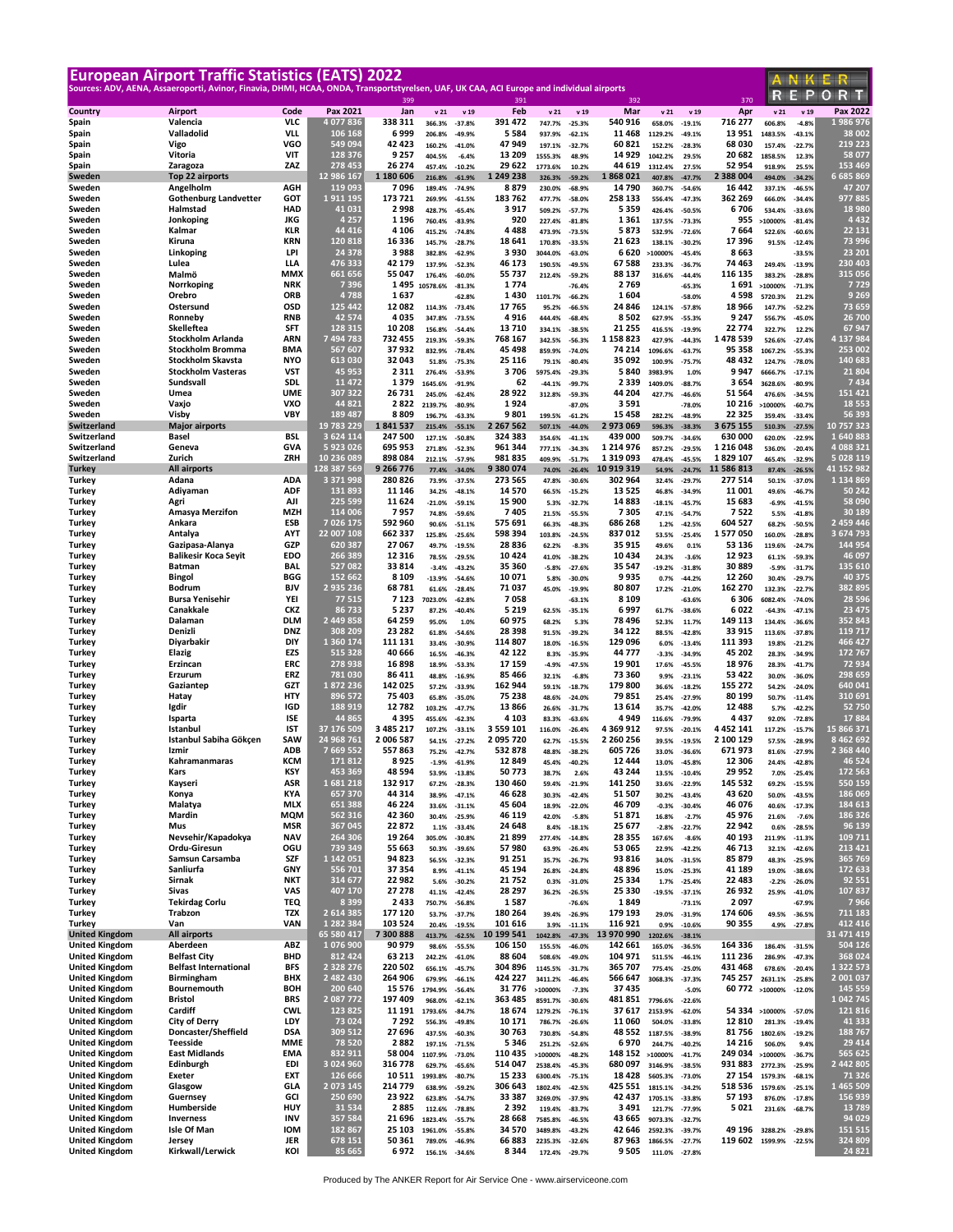|                                                | <b>European Airport Traffic Statistics (EATS) 2022</b>                                                                                   |                          |                            |                      |                   |                      |                      |                    |                      |                       |                    |                      |                       |                    |                      | ANKER                   |
|------------------------------------------------|------------------------------------------------------------------------------------------------------------------------------------------|--------------------------|----------------------------|----------------------|-------------------|----------------------|----------------------|--------------------|----------------------|-----------------------|--------------------|----------------------|-----------------------|--------------------|----------------------|-------------------------|
|                                                | Sources: ADV, AENA, Assaeroporti, Avinor, Finavia, DHMI, HCAA, ONDA, Transportstyrelsen, UAF, UK CAA, ACI Europe and individual airports |                          |                            |                      |                   |                      |                      |                    |                      |                       |                    |                      |                       |                    |                      | REPORT                  |
| Country                                        | Airport                                                                                                                                  | Code                     | Pax 2021                   | 399<br>Jan           | v <sub>21</sub>   | v 19                 | 391<br>Feb           | v <sub>21</sub>    | v 19                 | 392<br>Mar            | v <sub>21</sub>    | v 19                 | 370<br>Apr            | v <sub>21</sub>    | v 19                 | Pax 2022                |
| Spain                                          | Valencia                                                                                                                                 | <b>VLC</b>               | 4077836                    | 338 311              | 366.3%            | $-37.8%$             | 391 472              | 747.7%             | $-25.3%$             | 540 916               | 658.0%             | $-19.1%$             | 716 277               | 606.8%             | $-4.8%$              | 1986976                 |
| Spain                                          | Valladolid                                                                                                                               | <b>VLL</b>               | 106 168                    | 6999                 | 206.8%            | $-49.9%$             | 5 5 8 4              | 937.9%             | $-62.1%$             | 11 4 68               | 1129.2%            | $-49.1%$             | 13 951                | 1483.5%            | $-43.1%$             | 38 002                  |
| Spain                                          | Vigo<br>Vitoria                                                                                                                          | VGO<br>VIT               | 549 094<br>128 376         | 42 423<br>9 2 5 7    | 160.2%            | $-41.0%$             | 47 949<br>13 209     | 197.1%             | $-32.7%$             | 60 821<br>14 929      | 152.2%             | $-28.3%$             | 68 030<br>20 682      | 157.4%             | $-22.7%$             | 219 223<br>58 077       |
| Spain<br>Spain                                 | Zaragoza                                                                                                                                 | ZAZ                      | 278 453                    | 26 274               | 404.5%<br>457.4%  | $-6.4%$<br>$-10.2%$  | 29 622               | 1555.3%<br>1773.6% | 48.9%<br>10.2%       | 44 619                | 1042.2%<br>1312.4% | 29.5%<br>27.5%       | 52 954                | 1858.5%<br>918.9%  | 12.3%<br>25.5%       | 153 469                 |
| Sweden                                         | Top 22 airports                                                                                                                          |                          | 12 986 167                 | 1 180 606            | 216.8%            | $-61.9%$             | 1 249 238            | 326.3%             | $-59.2%$             | 868 021               | 407.8%             | $-47.7%$             | 2 388 004             | 494.0%             | $-34.2%$             | 6 685 869               |
| Sweden                                         | Angelholm                                                                                                                                | <b>AGH</b>               | 119 093                    | 7096                 | 189.4%            | $-74.9%$             | 8879                 | 230.0%             | $-68.9%$             | 14 790                | 360.7%             | $-54.6%$             | 16 442                | 337.1%             | $-46.5%$             | 47 207                  |
| Sweden<br>Sweden                               | <b>Gothenburg Landvetter</b><br>Halmstad                                                                                                 | GOT<br><b>HAD</b>        | 1911195<br>41 031          | 173 721<br>2998      | 269.9%<br>428.7%  | $-61.5%$<br>$-65.4%$ | 183762<br>3917       | 477.7%<br>509.2%   | $-58.0%$<br>$-57.7%$ | 258 133<br>5 3 5 9    | 556.4%<br>426.4%   | $-47.3%$<br>$-50.5%$ | 362 269<br>6706       | 666.0%<br>534.4%   | $-34.4%$<br>$-33.6%$ | 977885<br>18 980        |
| Sweden                                         | Jonkoping                                                                                                                                | JKG                      | 4 2 5 7                    | 1 1 9 6              | 760.4%            | $-83.9%$             | 920                  | 227.4%             | $-81.8%$             | 1 3 6 1               | 137.5%             | $-73.3%$             | 955                   | >10000%            | $-81.4%$             | 4432                    |
| Sweden                                         | Kalmar                                                                                                                                   | <b>KLR</b>               | 44 4 16                    | 4 1 0 6              | 415.2%            | $-74.8%$             | 4488                 | 473.9%             | $-73.5%$             | 5873                  | 532.9%             | $-72.6%$             | 7664                  | 522.6%             | $-60.6%$             | 22 13 1                 |
| Sweden                                         | Kiruna                                                                                                                                   | <b>KRN</b><br>LPI        | 120 818<br>24 3 7 8        | 16 336<br>3988       | 145.7%            | $-28.7%$             | 18 641<br>3930       | 170.8%             | $-33.5%$             | 21 623                | 138.1%             | $-30.2%$             | 17 396<br>8663        | 91.5%              | $-12.4%$             | 73 996<br>23 201        |
| Sweden<br>Sweden                               | Linkoping<br>Lulea                                                                                                                       | LLA                      | 476 333                    | 42 179               | 382.8%<br>137.9%  | $-62.9%$<br>$-52.3%$ | 46 173               | 3044.0%<br>190.5%  | $-63.0%$<br>$-49.5%$ | 6620<br>67 588        | >10000%<br>233.3%  | $-45.4%$<br>$-36.7%$ | 74 463                | 249.4%             | $-33.5%$<br>$-13.9%$ | 230 403                 |
| Sweden                                         | Malmö                                                                                                                                    | <b>MMX</b>               | 661 656                    | 55 047               | 176.4%            | $-60.0%$             | 55 737               | 212.4%             | $-59.2%$             | 88 137                | 316.6%             | $-44.4%$             | 116 135               | 383.2%             | $-28.8%$             | 315 056                 |
| Sweden                                         | Norrkoping                                                                                                                               | <b>NRK</b>               | 7396                       | 1495                 | 10578.6%          | $-81.3%$             | 1774                 |                    | $-76.4%$             | 2769                  |                    | $-65.3%$             | 1691                  | >10000%            | $-71.3%$             | 7729                    |
| Sweden                                         | Orebro                                                                                                                                   | ORB<br>OSD               | 4788<br>125 442            | 1637<br>12 082       |                   | $-62.8%$             | 1430                 | 1101.7%            | $-66.2%$             | 1604                  |                    | $-58.0%$             | 4598                  | 5720.3%            | 21.2%                | 9 2 6 9<br>73 659       |
| Sweden<br>Sweden                               | Ostersund<br>Ronneby                                                                                                                     | <b>RNB</b>               | 42 574                     | 4035                 | 114.3%<br>347.8%  | $-73.4%$<br>$-73.5%$ | 17765<br>4916        | 95.2%<br>444.4%    | $-66.5%$<br>$-68.4%$ | 24 846<br>8502        | 124.1%<br>627.9%   | $-57.8%$<br>$-55.3%$ | 18 966<br>9 2 4 7     | 147.7%<br>556.7%   | $-52.2%$<br>$-45.0%$ | 26 700                  |
| Sweden                                         | Skelleftea                                                                                                                               | <b>SFT</b>               | 128 315                    | 10 208               | 156.8%            | $-54.4%$             | 13710                | 334.1%             | $-38.5%$             | 21 255                | 416.5%             | $-19.9%$             | 22 774                | 322.7%             | 12.2%                | 67 947                  |
| Sweden                                         | Stockholm Arlanda                                                                                                                        | <b>ARN</b>               | 7 494 783                  | 732 455              | 219.3%            | $-59.3%$             | 768 167              | 342.5%             | $-56.3%$             | 1 158 823             | 427.9%             | $-44.3%$             | 1 478 539             | 526.6%             | $-27.4%$             | 4 137 984               |
| Sweden                                         | <b>Stockholm Bromma</b>                                                                                                                  | BMA                      | 567 607                    | 37932                | 832.9%            | $-78.4%$             | 45 498               | 859.9%             | $-74.0%$             | 74 214                | 1096.6%            | $-63.7%$             | 95 358                | 1067.2%            | $-55.3%$             | 253 002<br>140 683      |
| Sweden<br>Sweden                               | Stockholm Skavsta<br><b>Stockholm Vasteras</b>                                                                                           | <b>NYO</b><br><b>VST</b> | 613 030<br>45 953          | 32 043<br>2 3 1 1    | 51.8%<br>276.4%   | $-75.3%$<br>-53.9%   | 25 116<br>3706       | 79.1%<br>5975.4%   | $-80.4%$<br>$-29.3%$ | 35 092<br>5840        | 100.9%<br>3983.9%  | $-75.7%$<br>1.0%     | 48 432<br>9947        | 124.7%<br>6666.7%  | $-78.0%$<br>$-17.1%$ | 21 804                  |
| Sweden                                         | Sundsvall                                                                                                                                | <b>SDL</b>               | 11 472                     | 1379                 | 1645.6%           | $-91.9%$             | 62                   | $-44.1%$           | $-99.7%$             | 2 3 3 9               | 1409.0%            | $-88.7%$             | 3654                  | 3628.6%            | $-80.9%$             | 7434                    |
| Sweden                                         | Umea                                                                                                                                     | <b>UME</b>               | 307 322                    | 26 731               | 245.0%            | $-62.4%$             | 28 9 22              | 312.8%             | $-59.3%$             | 44 204                | 427.7%             | $-46.6%$             | 51 564                | 476.6%             | $-34.5%$             | 151 421                 |
| Sweden                                         | Vaxjo<br>Visby                                                                                                                           | <b>VXO</b><br><b>VBY</b> | 44 821<br>189 487          | 2822<br>8809         | 2139.7%           | $-80.9%$             | 1924<br>9801         |                    | $-87.0%$             | 3 5 9 1<br>15 4 58    |                    | $-78.0%$             | 10 216<br>22 325      | >10000%            | $-60.7%$             | 18 5 5 3<br>56 393      |
| Sweden<br><b>Switzerland</b>                   | <b>Major airports</b>                                                                                                                    |                          | 19 783 229                 | 1841537              | 196.7%<br>215.4%  | $-63.3%$<br>$-55.1%$ | 2 2 6 7 5 6 2        | 199.5%<br>507.1%   | $-61.2%$<br>$-44.0%$ | 2 973 069             | 282.2%<br>596.3%   | $-48.9%$<br>$-38.3%$ | 3 675 155             | 359.4%<br>510.3%   | $-33.4%$<br>$-27.5%$ | 10 757 323              |
| Switzerland                                    | Basel                                                                                                                                    | <b>BSL</b>               | 3 6 24 1 14                | 247 500              | 127.1%            | $-50.8%$             | 324 383              | 354.6%             | $-41.1%$             | 439 000               | 509.7%             | $-34.6%$             | 630 000               | 620.0%             | $-22.9%$             | 1640883                 |
| Switzerland                                    | Geneva                                                                                                                                   | <b>GVA</b>               | 5923026                    | 695 953              | 271.8%            | $-52.3%$             | 961 344              | 777.1%             | $-34.3%$             | 1 214 976             | 857.2%             | $-29.5%$             | 1 216 048             | 536.0%             | $-20.4%$             | 4 088 321               |
| Switzerland                                    | Zurich<br><b>All airports</b>                                                                                                            | ZRH                      | 10 236 089                 | 898 084<br>9 266 776 | 212.1%            | $-57.9%$             | 981835               | 409.9%             | $-51.7%$             | 1 319 093             | 478.4%             | $-45.5%$             | 1829 107              | 465.4%             | $-32.9%$             | 5 028 119               |
| <b>Turkey</b><br>Turkey                        | Adana                                                                                                                                    | <b>ADA</b>               | 128 387 569<br>3 371 998   | 280 826              | 77.4%<br>73.9%    | $-34.0%$<br>$-37.5%$ | 9 380 074<br>273 565 | 74.0%<br>47.8%     | $-26.4%$<br>$-30.6%$ | 10 919 319<br>302 964 | 54.9%<br>32.4%     | $-24.7%$<br>$-29.7%$ | 11 586 813<br>277 514 | 87.4%<br>50.1%     | $-26.5%$<br>$-37.0%$ | 41 152 982<br>1 134 869 |
| Turkey                                         | Adiyaman                                                                                                                                 | <b>ADF</b>               | 131 893                    | 11 146               | 34.2%             | $-48.1%$             | 14 570               | 66.5%              | $-15.2%$             | 13 5 25               | 46.8%              | $-34.9%$             | 11 001                | 49.6%              | $-46.7%$             | 50 242                  |
| Turkey                                         | Agri                                                                                                                                     | AJI                      | 225 599                    | 11 624               | $-21.0%$          | $-59.1%$             | 15 900               | 5.3%               | $-32.7%$             | 14 883                | $-18.1%$           | $-45.7%$             | 15 683                | $-6.9%$            | $-41.5%$             | 58 090                  |
| Turkey                                         | <b>Amasya Merzifon</b>                                                                                                                   | MZH                      | 114 006                    | 7957                 | 74.8%             | $-59.6%$             | 7405                 | 21.5%              | $-55.5%$             | 7 3 0 5               | 47.1%              | $-54.7%$             | 7522                  | 5.5%               | $-41.8%$             | 30 189                  |
| Turkey<br>Turkey                               | Ankara<br>Antalya                                                                                                                        | <b>ESB</b><br><b>AYT</b> | 7 026 175<br>22 007 108    | 592 960<br>662 337   | 90.6%<br>125.8%   | $-51.1%$<br>$-25.6%$ | 575 691<br>598 394   | 66.3%<br>103.8%    | $-48.3%$<br>$-24.5%$ | 686 268<br>837 012    | 1.2%<br>53.5%      | $-42.5%$<br>$-25.4%$ | 604 527<br>1577050    | 68.2%<br>160.0%    | $-50.5%$<br>$-28.8%$ | 2 459 446<br>3 674 793  |
| Turkey                                         | Gazipasa-Alanya                                                                                                                          | <b>GZP</b>               | 620 387                    | 27 067               | 49.7%             | $-19.5%$             | 28 8 36              | 62.2%              | $-8.3%$              | 35 915                | 49.6%              | 0.1%                 | 53 136                | 119.6%             | $-24.7%$             | 144 954                 |
| Turkey                                         | <b>Balikesir Koca Seyit</b>                                                                                                              | <b>EDO</b>               | 266 389                    | 12 3 16              | 78.5%             | $-29.5%$             | 10424                | 41.0%              | $-38.2%$             | 10 4 34               | 24.3%              | $-3.6%$              | 12 923                | 61.1%              | $-59.3%$             | 46 097                  |
| Turkey                                         | Batman                                                                                                                                   | <b>BAL</b>               | 527 082                    | 33 814               | $-3.4%$           | $-43.2%$             | 35 360               | $-5.8%$            | $-27.6%$             | 35 547                | $-19.2%$           | $-31.8%$             | 30 889                | $-5.9%$            | $-31.7%$             | 135 610                 |
| Turkey                                         | <b>Bingol</b><br><b>Bodrum</b>                                                                                                           | <b>BGG</b><br><b>BJV</b> | 152 662<br>2935236         | 8 1 0 9<br>68781     | $-13.9%$          | $-54.6%$             | 10 071<br>71 037     | 5.8%               | $-30.0%$             | 9935<br>80 807        | 0.7%               | $-44.2%$             | 12 260<br>162 270     | 30.4%              | $-29.7%$             | 40 375<br>382 895       |
| Turkey<br>Turkey                               | <b>Bursa Yenisehir</b>                                                                                                                   | YEI                      | 77 515                     | 7 1 2 3              | 61.6%<br>7023.0%  | $-28.4%$<br>$-62.8%$ | 7058                 | 45.0%              | $-19.9%$<br>$-63.1%$ | 8 1 0 9               | 17.2%              | $-21.0%$<br>$-63.6%$ | 6 3 0 6               | 132.3%<br>6082.4%  | $-22.7%$<br>$-74.0%$ | 28 5 9 6                |
| Turkey                                         | Canakkale                                                                                                                                | CKZ                      | 86 733                     | 5 2 3 7              | 87.2%             | 40.4%                | 5 2 1 9              | 62.5%              | $-35.1%$             | 6997                  | 61.7%              | $-38.6%$             | 6022                  | $-64.3%$           | $-47.1%$             | 23 475                  |
| Turkey                                         | Dalaman                                                                                                                                  | DLM                      | 2 449 858                  | 64 259               | 95.0%             | 1.0%                 | 60975                | 68.2%              | 5.3%                 | 78 496                | 52.3%              | 11.7%                | 149 113               | 134.4%             | $-36.6%$             | 352 843                 |
| Turkey                                         | Denizli                                                                                                                                  | <b>DNZ</b><br><b>DIY</b> | 308 209                    | 23 282               | 61.8%             | $-54.6%$             | 28 3 98              | 91.5%              | $-39.2%$             | 34 122                | 88.5%              | $-42.8%$             | 33 915                | 113.6%             | $-37.8%$             | 119 717                 |
| Turkey<br>Turkey                               | Diyarbakir<br>Elazig                                                                                                                     | EZS                      | 1 360 174<br>515 328       | 111 131<br>40 666    | 33.4%<br>16.5%    | $-30.9%$<br>$-46.3%$ | 114 807<br>42 122    | 18.0%<br>8.3%      | $-16.5%$<br>$-35.9%$ | 129 096<br>44 777     | 6.0%<br>$-3.3%$    | $-13.4%$<br>$-34.9%$ | 111 393<br>45 202     | 19.8%<br>28.3%     | $-21.2%$<br>$-34.9%$ | 466 427<br>172 767      |
| Turkey                                         | Erzincan                                                                                                                                 | <b>ERC</b>               | 278 938                    | 16898                | 18.9%             | $-53.3%$             | 17 159               | $-4.9%$            | $-47.5%$             | 19 901                | 17.6%              | $-45.5%$             | 18 976                | 28.3%              | $-41.7%$             | 72 934                  |
| Turkey                                         | Erzurum                                                                                                                                  | <b>ERZ</b>               | 781 030                    | 86 411               | 48.8%             | $-16.9%$             | 85 466               | 32.1%              | $-6.8%$              | 73 360                | 9.9%               | $-23.1%$             | 53 422                | 30.0%              | $-36.0%$             | 298 659                 |
| Turkey                                         | Gaziantep                                                                                                                                | <b>GZT</b>               | 1872236                    | 142 025              | 57.2%             | $-33.9%$             | 162 944              | 59.1%              | $-18.7%$             | 179 800               | 36.6%              | $-18.2%$             | 155 272               | 54.2%              | $-24.0%$             | 640 041                 |
| Turkey<br>Turkey                               | Hatay<br>Igdir                                                                                                                           | <b>HTY</b><br><b>IGD</b> | 896 572<br>188 919         | 75 403<br>12782      | 65.8%             | $-35.0%$<br>$-47.7%$ | 75 238<br>13866      | 48.6%              | $-24.0%$             | 79 851<br>13 614      | 25.4%<br>35.7%     | $-27.9%$             | 80 199<br>12 488      | 50.7%              | $-11.4%$<br>$-42.2%$ | 310 691<br>52 750       |
| Turkey                                         | Isparta                                                                                                                                  | <b>ISE</b>               | 44 865                     | 4 3 9 5              | 103.2%<br>455.6%  | $-62.3%$             | 4 1 0 3              | 26.6%<br>83.3%     | $-31.7%$<br>$-63.6%$ | 4949                  | 116.6%             | $-42.0%$<br>$-79.9%$ | 4 4 3 7               | 5.7%<br>92.0%      | $-72.8%$             | 17884                   |
| Turkey                                         | Istanbul                                                                                                                                 | <b>IST</b>               | 37 176 509                 | 3 485 217            | 107.2%            | $-33.1%$             | 3 559 101            | 116.0%             | $-26.4%$             | 4 369 912             | 97.5%              | $-20.1%$             | 4 4 5 2 1 4 1         | 117.2%             | $-15.7%$             | 15 866 371              |
| Turkey                                         | Istanbul Sabiha Gökcen                                                                                                                   | SAW                      | 24 968 761                 | 2 006 587            | 54.1%             | $-27.2%$             | 2 095 720            | 62.7%              | $-15.5%$             | 2 260 256             | 39.5%              | $-19.5%$             | 2 100 129             | 57.5%              | $-28.9%$             | 8 4 6 2 6 9 2           |
| Turkey<br>Turkey                               | Izmir<br>Kahramanmaras                                                                                                                   | <b>ADB</b><br>KCM        | 7 669 552<br>171 812       | 557863<br>8925       | 75.2%             | $-42.7%$             | 532 878<br>12849     | 48.8%              | $-38.2%$             | 605 726<br>12 444     | 33.0%              | $-36.6%$             | 671973<br>12 306      | 81.6%              | $-27.9%$             | 2 368 440<br>46 5 24    |
| Turkey                                         | Kars                                                                                                                                     | KSY                      | 453 369                    | 48 594               | $-1.9%$<br>53.9%  | $-61.9%$<br>$-13.8%$ | 50773                | 45.4%<br>38.7%     | $-40.2%$<br>2.6%     | 43 244                | 13.0%<br>13.5%     | $-45.8%$<br>$-10.4%$ | 29 952                | 24.4%<br>7.0%      | $-42.8%$<br>$-25.4%$ | 172 563                 |
| Turkey                                         | Kayseri                                                                                                                                  | ASR                      | 1681218                    | 132 917              | 67.2%             | $-28.3%$             | 130 460              | 59.4%              | $-21.9%$             | 141 250               | 33.6%              | $-22.9%$             | 145 532               | 69.2%              | $-15.5%$             | 550 159                 |
| Turkey                                         | Konya                                                                                                                                    | KYA                      | 657 370                    | 44 314               | 38.9%             | $-47.1%$             | 46 628               | 30.3%              | $-42.4%$             | 51 507                | 30.2%              | $-43.4%$             | 43 620                | 50.0%              | $-43.5%$             | 186 069                 |
| Turkey<br>Turkey                               | Malatya<br>Mardin                                                                                                                        | <b>MLX</b><br>MQM        | 651 388<br>562 316         | 46 224<br>42 360     | 33.6%             | $-31.1%$<br>$-25.9%$ | 45 604<br>46 119     | 18.9%              | $-22.0%$<br>$-5.8%$  | 46 709<br>51871       | $-0.3%$            | $-30.4%$             | 46 076<br>45 976      | 40.6%              | $-17.3%$<br>$-7.6%$  | 184 613<br>186 326      |
| Turkey                                         | Mus                                                                                                                                      | <b>MSR</b>               | 367 045                    | 22872                | 30.4%<br>1.1%     | $-33.4%$             | 24 648               | 42.0%<br>8.4%      | $-18.1%$             | 25 677                | 16.8%<br>$-2.8%$   | $-2.7%$<br>$-22.7%$  | 22 942                | 21.6%<br>0.6%      | $-28.5%$             | 96 139                  |
| Turkey                                         | Nevsehir/Kapadokya                                                                                                                       | <b>NAV</b>               | 264 306                    | 19 264               | 305.0%            | $-30.8%$             | 21899                | 277.4%             | $-14.8%$             | 28 355                | 167.6%             | $-8.6%$              | 40 193                | 211.9%             | $-11.3%$             | 109 711                 |
| Turkey                                         | Ordu-Giresun                                                                                                                             | OGU                      | 739 349                    | 55 663               | 50.3%             | $-39.6%$             | 57980                | 63.9%              | $-26.4%$             | 53 065                | 22.9%              | $-42.2%$             | 46 713                | 32.1%              | $-42.6%$             | 213 421                 |
| Turkey<br>Turkey                               | Samsun Carsamba<br>Sanliurfa                                                                                                             | <b>SZF</b><br>GNY        | 1 142 051<br>556 701       | 94 823<br>37 354     | 56.5%<br>8.9%     | $-32.3%$<br>$-41.1%$ | 91 251<br>45 194     | 35.7%<br>26.8%     | $-26.7%$<br>$-24.8%$ | 93 816<br>48 896      | 34.0%<br>15.0%     | $-31.5%$<br>$-25.3%$ | 85 879<br>41 189      | 48.3%<br>19.0%     | $-25.9%$<br>$-38.6%$ | 365 769<br>172 633      |
| Turkey                                         | Sirnak                                                                                                                                   | <b>NKT</b>               | 314 677                    | 22 982               | 5.6%              | $-30.2%$             | 21752                | 0.3%               | $-31.0%$             | 25 334                | 1.7%               | $-25.4%$             | 22 483                | $-2.2%$            | $-26.0%$             | 92 551                  |
| Turkey                                         | Sivas                                                                                                                                    | VAS                      | 407 170                    | 27 278               | 41.1%             | $-42.4%$             | 28 297               | 36.2%              | $-26.5%$             | 25 330                | $-19.5%$           | $-37.1%$             | 26 932                | 25.9%              | $-41.0%$             | 107837                  |
| Turkey                                         | <b>Tekirdag Corlu</b>                                                                                                                    | TEQ                      | 8 3 9 9                    | 2433                 | 750.7%            | $-56.8%$             | 1587                 |                    | $-76.6%$             | 1849                  |                    | $-73.1%$             | 2097                  |                    | $-67.9%$             | 7966                    |
| Turkey<br>Turkey                               | Trabzon<br>Van                                                                                                                           | <b>TZX</b><br>VAN        | 2 614 385<br>1 2 8 2 3 8 4 | 177 120<br>103 524   | 53.7%<br>20.4%    | $-37.7%$<br>$-19.5%$ | 180 264<br>101 616   | 39.4%<br>3.9%      | $-26.9%$<br>$-11.1%$ | 179 193<br>116 921    | 29.0%<br>0.9%      | $-31.9%$             | 174 606<br>90 355     | 49.5%<br>4.9%      | $-36.5%$             | 711 183<br>412 416      |
| <b>United Kingdom</b>                          | All airports                                                                                                                             |                          | 65 580 417                 | 7 300 888            | 413.7%            | $-62.5%$             | 10 199 541           | 1042.8%            | $-47.3%$             | L3 970 990            | 1202.6%            | $-10.6%$<br>$-38.1%$ |                       |                    | $-27.8%$             | 31 471 419              |
| <b>United Kingdom</b>                          | Aberdeen                                                                                                                                 | ABZ                      | 1076900                    | 90 979               | 98.6%             | $-55.5%$             | 106 150              | 155.5%             | $-46.0%$             | 142 661               | 165.0%             | $-36.5%$             | 164 336               | 186.4%             | $-31.5%$             | 504 126                 |
| <b>United Kingdom</b>                          | <b>Belfast City</b>                                                                                                                      | <b>BHD</b>               | 812 424                    | 63 213               | 242.2%            | $-61.0%$             | 88 604               | 508.6%             | $-49.0%$             | 104 971               | 511.5%             | $-46.1%$             | 111 236               | 286.9%             | $-47.3%$             | 368 024                 |
| <b>United Kingdom</b>                          | <b>Belfast International</b>                                                                                                             | <b>BFS</b><br><b>BHX</b> | 2 3 2 8 2 7 6<br>2 482 430 | 220 502<br>264 906   | 656.1%            | $-45.7%$             | 304 896              | 1145.5%            | $-31.7%$             | 365 707               | 775.4%             | $-25.0%$             | 431 468               | 678.6%             | $-20.4%$             | 1 322 573<br>2 001 037  |
| <b>United Kingdom</b><br><b>United Kingdom</b> | Birmingham<br>Bournemouth                                                                                                                | BOH                      | 200 640                    | 15 5 76              | 679.9%<br>1794.9% | $-66.1%$<br>$-56.4%$ | 424 227<br>31776     | 3411.2%<br>>10000% | $-46.4%$<br>$-7.3%$  | 566 647<br>37 435     | 3068.3%            | $-37.3%$<br>$-5.0%$  | 745 257<br>60 772     | 2631.1%<br>>10000% | $-25.8%$<br>$-12.0%$ | 145 559                 |
| <b>United Kingdom</b>                          | <b>Bristol</b>                                                                                                                           | <b>BRS</b>               | 2 087 772                  | 197 409              | 968.0%            | $-62.1%$             | 363 485              | 8591.7%            | $-30.6%$             | 481 851               | 7796.6%            | $-22.6%$             |                       |                    |                      | 1 042 745               |
| <b>United Kingdom</b>                          | Cardiff                                                                                                                                  | <b>CWL</b>               | 123 825                    | 11 191               | 1793.6%           | $-84.7%$             | 18674                | 1279.2%            | $-76.1%$             | 37 617                | 2153.9%            | $-62.0%$             | 54 334                | >10000%            | $-57.0%$             | 121 816                 |
| <b>United Kingdom</b>                          | <b>City of Derry</b>                                                                                                                     | LDY                      | 73 0 24                    | 7 2 9 2              | 556.3%            | $-49.8%$             | 10 17 1              | 786.7%             | $-26.6%$             | 11 060                | 504.0%             | $-33.8%$             | 12 8 10               | 281.3%             | $-19.4%$             | 41 333                  |
| <b>United Kingdom</b><br><b>United Kingdom</b> | Doncaster/Sheffield<br><b>Teesside</b>                                                                                                   | <b>DSA</b><br><b>MME</b> | 309 512<br>78 5 20         | 27 696<br>2882       | 437.5%<br>197.1%  | $-60.3%$<br>$-71.5%$ | 30763<br>5 3 4 6     | 730.8%<br>251.2%   | $-54.8%$<br>$-52.6%$ | 48 552<br>6970        | 1187.5%<br>244.7%  | $-38.9%$<br>$-40.2%$ | 81756<br>14 216       | 1802.6%<br>506.0%  | $-19.2%$<br>9.4%     | 188 767<br>29 4 14      |
| <b>United Kingdom</b>                          | <b>East Midlands</b>                                                                                                                     | <b>EMA</b>               | 832 911                    | 58 004               | 1107.9%           | $-73.0%$             | 110 435              | >10000%            | $-48.2%$             | 148 152               | >10000%            | $-41.7%$             | 249 034               | >10000%            | $-36.7%$             | 565 625                 |
| <b>United Kingdom</b>                          | Edinburgh                                                                                                                                | EDI                      | 3 024 960                  | 316 778              | 629.7%            | $-65.6%$             | 514 047              | 2538.4%            | $-45.3%$             | 680 097               | 3146.9%            | $-38.5%$             | 931883                | 2772.3%            | $-25.9%$             | 2 442 805               |
| <b>United Kingdom</b>                          | Exeter                                                                                                                                   | EXT                      | 126 666                    | 10511                | 1993.8%           | $-80.7%$             | 15 2 33              | 6300.4%            | $-75.1%$             | 18 4 28               | 5605.3%            | $-73.0%$             | 27 154                | 1579.3%            | $-68.1%$             | 71 326                  |
| <b>United Kingdom</b><br><b>United Kingdom</b> | Glasgow<br>Guernsey                                                                                                                      | GLA<br>GCI               | 2 073 145<br>250 690       | 214 779<br>23 922    | 638.9%<br>623.8%  | $-59.2%$<br>$-54.7%$ | 306 643<br>33 387    | 1802.4%<br>3269.0% | $-42.5%$<br>$-37.9%$ | 425 551<br>42 437     | 1815.1%<br>1705.1% | $-34.2%$<br>$-33.8%$ | 518 536<br>57 193     | 1579.6%<br>876.0%  | $-25.1%$<br>$-17.8%$ | 1 465 509<br>156 939    |
| <b>United Kingdom</b>                          | Humberside                                                                                                                               | HUY                      | 31 5 34                    | 2885                 | 112.6%            | $-78.8%$             | 2 3 9 2              | 119.4%             | $-83.7%$             | 3491                  | 121.7%             | $-77.9%$             | 5021                  | 231.6%             | $-68.7%$             | 13 789                  |
| <b>United Kingdom</b>                          | Inverness                                                                                                                                | <b>INV</b>               | 357 584                    | 21 696               | 1823.4%           | $-55.7%$             | 28 6 68              | 7585.8%            | $-46.5%$             | 43 665                | 9073.3%            | $-32.7%$             |                       |                    |                      | 94 0 29                 |
| <b>United Kingdom</b>                          | Isle Of Man                                                                                                                              | <b>IOM</b>               | 182 867                    | 25 103               | 1961.0%           | $-55.8%$             | 34 570               | 3489.8%            | $-43.2%$             | 42 646                | 2592.3%            | $-39.7%$             | 49 196                | 3288.2%            | $-29.8%$             | 151 515                 |
| <b>United Kingdom</b><br><b>United Kingdom</b> | Jersey<br>Kirkwall/Lerwick                                                                                                               | JER<br>KOI               | 678 151<br>85 665          | 50 361<br>6972       | 789.0%<br>156.1%  | $-46.9%$<br>$-34.6%$ | 66883<br>8344        | 2235.3%<br>172.4%  | $-32.6%$<br>$-29.7%$ | 87963<br>9 5 0 5      | 1866.5%<br>111.0%  | $-27.7%$<br>$-27.8%$ | 119 602               | 1599.9%            | $-22.5%$             | 324 809<br>24 8 21      |
|                                                |                                                                                                                                          |                          |                            |                      |                   |                      |                      |                    |                      |                       |                    |                      |                       |                    |                      |                         |